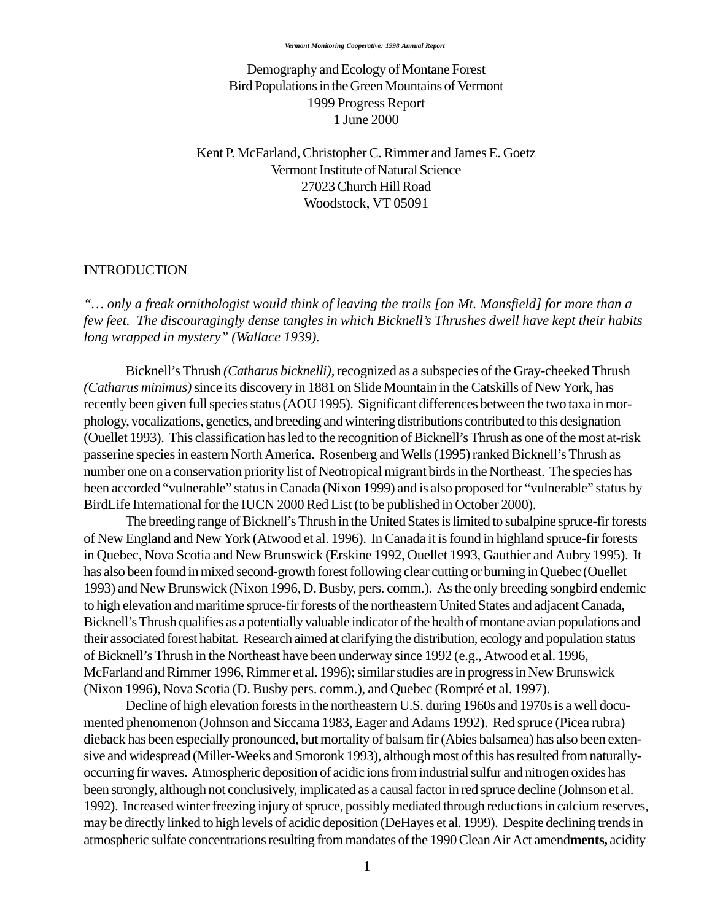Demography and Ecology of Montane Forest Bird Populations in the Green Mountains of Vermont 1999 Progress Report 1 June 2000

Kent P. McFarland, Christopher C. Rimmer and James E. Goetz Vermont Institute of Natural Science 27023 Church Hill Road Woodstock, VT 05091

#### INTRODUCTION

*"… only a freak ornithologist would think of leaving the trails [on Mt. Mansfield] for more than a few feet. The discouragingly dense tangles in which Bicknell's Thrushes dwell have kept their habits long wrapped in mystery" (Wallace 1939).*

Bicknell's Thrush *(Catharus bicknelli)*, recognized as a subspecies of the Gray-cheeked Thrush *(Catharus minimus)* since its discovery in 1881 on Slide Mountain in the Catskills of New York, has recently been given full species status (AOU 1995). Significant differences between the two taxa in morphology, vocalizations, genetics, and breeding and wintering distributions contributed to this designation (Ouellet 1993). This classification has led to the recognition of Bicknell's Thrush as one of the most at-risk passerine species in eastern North America. Rosenberg and Wells (1995) ranked Bicknell's Thrush as number one on a conservation priority list of Neotropical migrant birds in the Northeast. The species has been accorded "vulnerable" status in Canada (Nixon 1999) and is also proposed for "vulnerable" status by BirdLife International for the IUCN 2000 Red List (to be published in October 2000).

The breeding range of Bicknell's Thrush in the United States is limited to subalpine spruce-fir forests of New England and New York (Atwood et al. 1996). In Canada it is found in highland spruce-fir forests in Quebec, Nova Scotia and New Brunswick (Erskine 1992, Ouellet 1993, Gauthier and Aubry 1995). It has also been found in mixed second-growth forest following clear cutting or burning in Quebec (Ouellet 1993) and New Brunswick (Nixon 1996, D. Busby, pers. comm.). As the only breeding songbird endemic to high elevation and maritime spruce-fir forests of the northeastern United States and adjacent Canada, Bicknell's Thrush qualifies as a potentially valuable indicator of the health of montane avian populations and their associated forest habitat. Research aimed at clarifying the distribution, ecology and population status of Bicknell's Thrush in the Northeast have been underway since 1992 (e.g., Atwood et al. 1996, McFarland and Rimmer 1996, Rimmer et al. 1996); similar studies are in progress in New Brunswick (Nixon 1996), Nova Scotia (D. Busby pers. comm.), and Quebec (Rompré et al. 1997).

Decline of high elevation forests in the northeastern U.S. during 1960s and 1970s is a well documented phenomenon (Johnson and Siccama 1983, Eager and Adams 1992). Red spruce (Picea rubra) dieback has been especially pronounced, but mortality of balsam fir (Abies balsamea) has also been extensive and widespread (Miller-Weeks and Smoronk 1993), although most of this has resulted from naturallyoccurring fir waves. Atmospheric deposition of acidic ions from industrial sulfur and nitrogen oxides has been strongly, although not conclusively, implicated as a causal factor in red spruce decline (Johnson et al. 1992). Increased winter freezing injury of spruce, possibly mediated through reductions in calcium reserves, may be directly linked to high levels of acidic deposition (DeHayes et al. 1999). Despite declining trends in atmospheric sulfate concentrations resulting from mandates of the 1990 Clean Air Act amend**ments,** acidity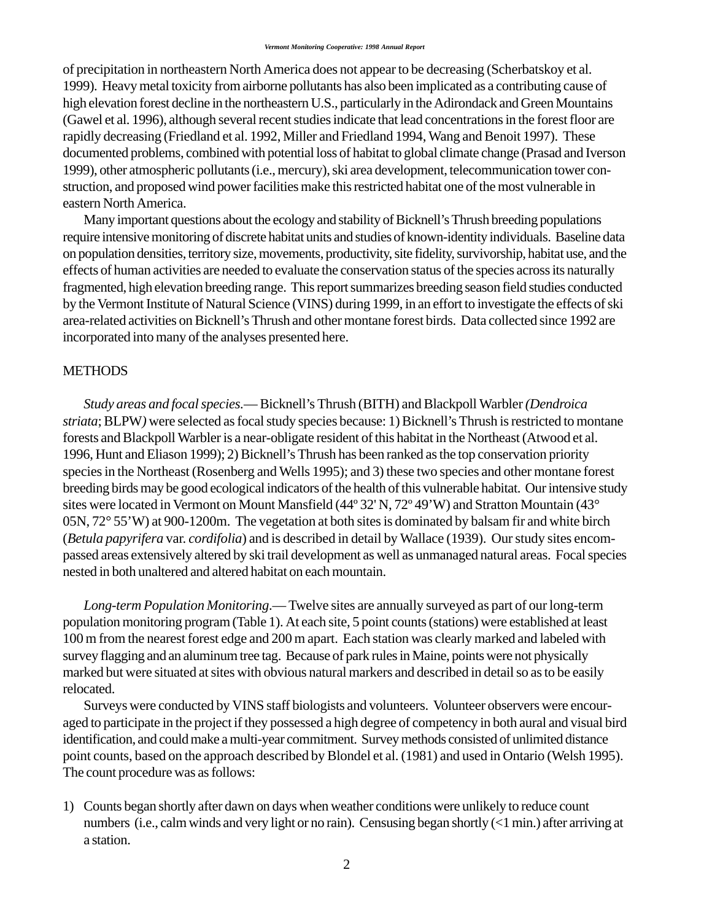of precipitation in northeastern North America does not appear to be decreasing (Scherbatskoy et al. 1999). Heavy metal toxicity from airborne pollutants has also been implicated as a contributing cause of high elevation forest decline in the northeastern U.S., particularly in the Adirondack and Green Mountains (Gawel et al. 1996), although several recent studies indicate that lead concentrations in the forest floor are rapidly decreasing (Friedland et al. 1992, Miller and Friedland 1994, Wang and Benoit 1997). These documented problems, combined with potential loss of habitat to global climate change (Prasad and Iverson 1999), other atmospheric pollutants (i.e., mercury), ski area development, telecommunication tower construction, and proposed wind power facilities make this restricted habitat one of the most vulnerable in eastern North America.

Many important questions about the ecology and stability of Bicknell's Thrush breeding populations require intensive monitoring of discrete habitat units and studies of known-identity individuals. Baseline data on population densities, territory size, movements, productivity, site fidelity, survivorship, habitat use, and the effects of human activities are needed to evaluate the conservation status of the species across its naturally fragmented, high elevation breeding range. This report summarizes breeding season field studies conducted by the Vermont Institute of Natural Science (VINS) during 1999, in an effort to investigate the effects of ski area-related activities on Bicknell's Thrush and other montane forest birds. Data collected since 1992 are incorporated into many of the analyses presented here.

#### **METHODS**

*Study areas and focal species.*— Bicknell's Thrush (BITH) and Blackpoll Warbler *(Dendroica striata*; BLPW*)* were selected as focal study species because: 1) Bicknell's Thrush is restricted to montane forests and Blackpoll Warbler is a near-obligate resident of this habitat in the Northeast (Atwood et al. 1996, Hunt and Eliason 1999); 2) Bicknell's Thrush has been ranked as the top conservation priority species in the Northeast (Rosenberg and Wells 1995); and 3) these two species and other montane forest breeding birds may be good ecological indicators of the health of this vulnerable habitat. Our intensive study sites were located in Vermont on Mount Mansfield (44º 32' N, 72º 49'W) and Stratton Mountain (43° 05N, 72° 55'W) at 900-1200m. The vegetation at both sites is dominated by balsam fir and white birch (*Betula papyrifera* var. *cordifolia*) and is described in detail by Wallace (1939). Our study sites encompassed areas extensively altered by ski trail development as well as unmanaged natural areas. Focal species nested in both unaltered and altered habitat on each mountain.

*Long-term Population Monitoring*.— Twelve sites are annually surveyed as part of our long-term population monitoring program (Table 1). At each site, 5 point counts (stations) were established at least 100 m from the nearest forest edge and 200 m apart. Each station was clearly marked and labeled with survey flagging and an aluminum tree tag. Because of park rules in Maine, points were not physically marked but were situated at sites with obvious natural markers and described in detail so as to be easily relocated.

Surveys were conducted by VINS staff biologists and volunteers. Volunteer observers were encouraged to participate in the project if they possessed a high degree of competency in both aural and visual bird identification, and could make a multi-year commitment. Survey methods consisted of unlimited distance point counts, based on the approach described by Blondel et al. (1981) and used in Ontario (Welsh 1995). The count procedure was as follows:

1) Counts began shortly after dawn on days when weather conditions were unlikely to reduce count numbers (i.e., calm winds and very light or no rain). Censusing began shortly (<1 min.) after arriving at a station.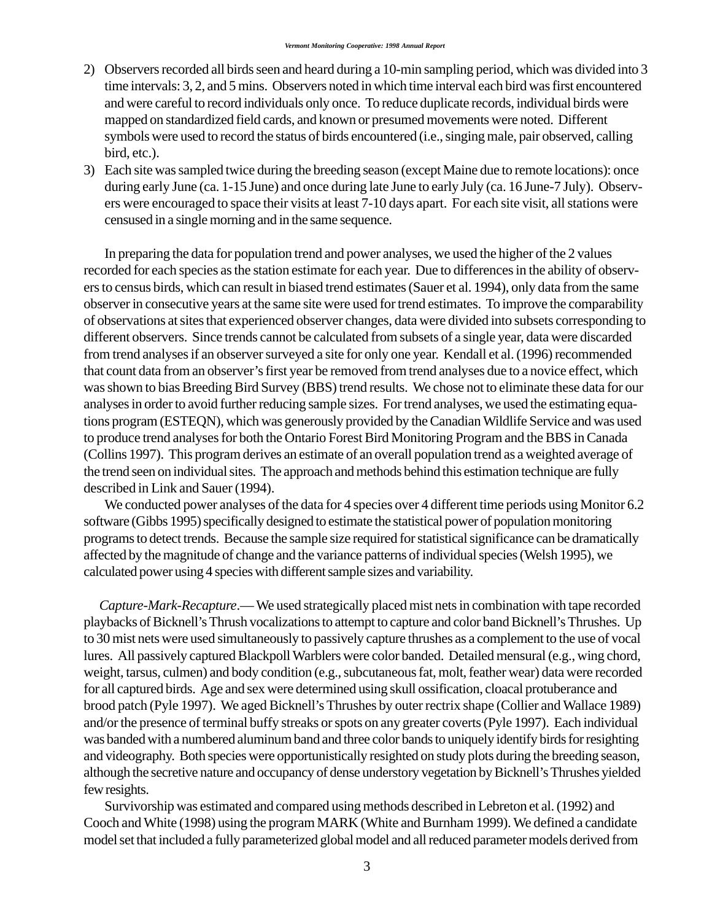- 2) Observers recorded all birds seen and heard during a 10-min sampling period, which was divided into 3 time intervals: 3, 2, and 5 mins. Observers noted in which time interval each bird was first encountered and were careful to record individuals only once. To reduce duplicate records, individual birds were mapped on standardized field cards, and known or presumed movements were noted. Different symbols were used to record the status of birds encountered (i.e., singing male, pair observed, calling bird, etc.).
- 3) Each site was sampled twice during the breeding season (except Maine due to remote locations): once during early June (ca. 1-15 June) and once during late June to early July (ca. 16 June-7 July). Observers were encouraged to space their visits at least 7-10 days apart. For each site visit, all stations were censused in a single morning and in the same sequence.

In preparing the data for population trend and power analyses, we used the higher of the 2 values recorded for each species as the station estimate for each year. Due to differences in the ability of observers to census birds, which can result in biased trend estimates (Sauer et al. 1994), only data from the same observer in consecutive years at the same site were used for trend estimates. To improve the comparability of observations at sites that experienced observer changes, data were divided into subsets corresponding to different observers. Since trends cannot be calculated from subsets of a single year, data were discarded from trend analyses if an observer surveyed a site for only one year. Kendall et al. (1996) recommended that count data from an observer's first year be removed from trend analyses due to a novice effect, which was shown to bias Breeding Bird Survey (BBS) trend results. We chose not to eliminate these data for our analyses in order to avoid further reducing sample sizes. For trend analyses, we used the estimating equations program (ESTEQN), which was generously provided by the Canadian Wildlife Service and was used to produce trend analyses for both the Ontario Forest Bird Monitoring Program and the BBS in Canada (Collins 1997). This program derives an estimate of an overall population trend as a weighted average of the trend seen on individual sites. The approach and methods behind this estimation technique are fully described in Link and Sauer (1994).

We conducted power analyses of the data for 4 species over 4 different time periods using Monitor 6.2 software (Gibbs 1995) specifically designed to estimate the statistical power of population monitoring programs to detect trends. Because the sample size required for statistical significance can be dramatically affected by the magnitude of change and the variance patterns of individual species (Welsh 1995), we calculated power using 4 species with different sample sizes and variability.

*Capture-Mark-Recapture*.— We used strategically placed mist nets in combination with tape recorded playbacks of Bicknell's Thrush vocalizations to attempt to capture and color band Bicknell's Thrushes. Up to 30 mist nets were used simultaneously to passively capture thrushes as a complement to the use of vocal lures. All passively captured Blackpoll Warblers were color banded. Detailed mensural (e.g., wing chord, weight, tarsus, culmen) and body condition (e.g., subcutaneous fat, molt, feather wear) data were recorded for all captured birds. Age and sex were determined using skull ossification, cloacal protuberance and brood patch (Pyle 1997). We aged Bicknell's Thrushes by outer rectrix shape (Collier and Wallace 1989) and/or the presence of terminal buffy streaks or spots on any greater coverts (Pyle 1997). Each individual was banded with a numbered aluminum band and three color bands to uniquely identify birds for resighting and videography. Both species were opportunistically resighted on study plots during the breeding season, although the secretive nature and occupancy of dense understory vegetation by Bicknell's Thrushes yielded few resights.

Survivorship was estimated and compared using methods described in Lebreton et al. (1992) and Cooch and White (1998) using the program MARK (White and Burnham 1999). We defined a candidate model set that included a fully parameterized global model and all reduced parameter models derived from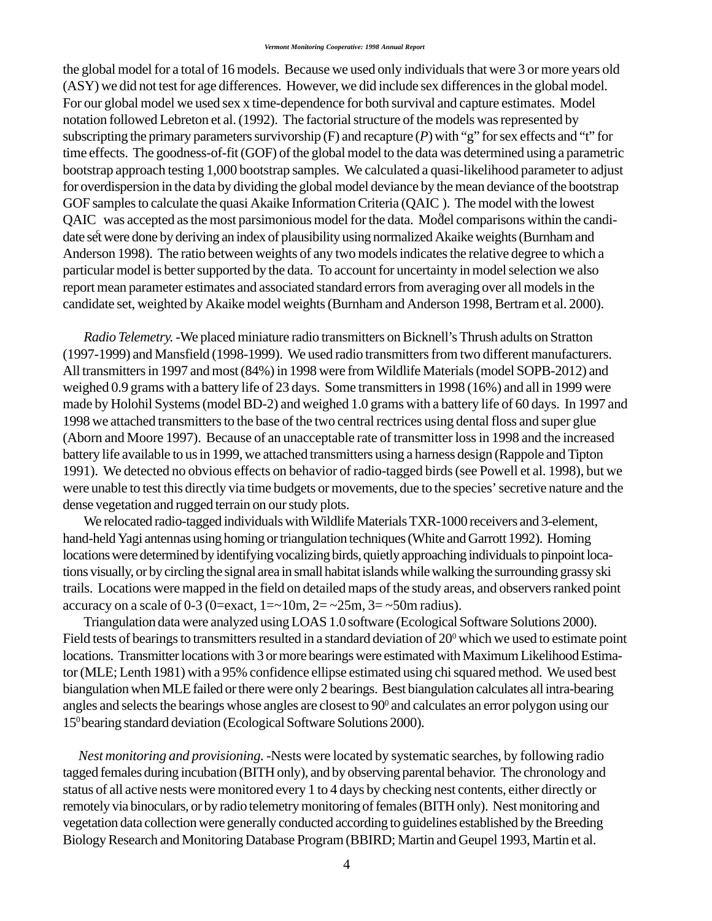the global model for a total of 16 models. Because we used only individuals that were 3 or more years old (ASY) we did not test for age differences. However, we did include sex differences in the global model. For our global model we used sex x time-dependence for both survival and capture estimates. Model notation followed Lebreton et al. (1992). The factorial structure of the models was represented by subscripting the primary parameters survivorship (F) and recapture (*P*) with "g" for sex effects and "t" for time effects. The goodness-of-fit (GOF) of the global model to the data was determined using a parametric bootstrap approach testing 1,000 bootstrap samples. We calculated a quasi-likelihood parameter to adjust for overdispersion in the data by dividing the global model deviance by the mean deviance of the bootstrap GOF samples to calculate the quasi Akaike Information Criteria (QAIC). The model with the lowest<br> $\Omega$ AIC, wes assessed as the mast requirements we get also the data. Ma<sup>3</sup>el asymptisms within the seq QAIC was accepted as the most parsimonious model for the data. Model comparisons within the candi-<br>data of more density as the density of also followibility as a smaller debt is model to Complete and date set were done by deriving an index of plausibility using normalized Akaike weights (Burnham and Anderson 1998). The ratio between weights of any two models indicates the relative degree to which a particular model is better supported by the data. To account for uncertainty in model selection we also report mean parameter estimates and associated standard errors from averaging over all models in the candidate set, weighted by Akaike model weights (Burnham and Anderson 1998, Bertram et al. 2000).

*Radio Telemetry.* -We placed miniature radio transmitters on Bicknell's Thrush adults on Stratton (1997-1999) and Mansfield (1998-1999). We used radio transmitters from two different manufacturers. All transmitters in 1997 and most (84%) in 1998 were from Wildlife Materials (model SOPB-2012) and weighed 0.9 grams with a battery life of 23 days. Some transmitters in 1998 (16%) and all in 1999 were made by Holohil Systems (model BD-2) and weighed 1.0 grams with a battery life of 60 days. In 1997 and 1998 we attached transmitters to the base of the two central rectrices using dental floss and super glue (Aborn and Moore 1997). Because of an unacceptable rate of transmitter loss in 1998 and the increased battery life available to us in 1999, we attached transmitters using a harness design (Rappole and Tipton 1991). We detected no obvious effects on behavior of radio-tagged birds (see Powell et al. 1998), but we were unable to test this directly via time budgets or movements, due to the species' secretive nature and the dense vegetation and rugged terrain on our study plots.

We relocated radio-tagged individuals with Wildlife Materials TXR-1000 receivers and 3-element, hand-held Yagi antennas using homing or triangulation techniques (White and Garrott 1992). Homing locations were determined by identifying vocalizing birds, quietly approaching individuals to pinpoint locations visually, or by circling the signal area in small habitat islands while walking the surrounding grassy ski trails. Locations were mapped in the field on detailed maps of the study areas, and observers ranked point accuracy on a scale of 0-3 (0=exact, 1= $\sim$ 10m, 2= $\sim$ 25m, 3= $\sim$ 50m radius).

Triangulation data were analyzed using LOAS 1.0 software (Ecological Software Solutions 2000). Field tests of bearings to transmitters resulted in a standard deviation of  $20^{\rm o}$  which we used to estimate point locations. Transmitter locations with 3 or more bearings were estimated with Maximum Likelihood Estimator (MLE; Lenth 1981) with a 95% confidence ellipse estimated using chi squared method. We used best biangulation when MLE failed or there were only 2 bearings. Best biangulation calculates all intra-bearing angles and selects the bearings whose angles are closest to  $90^{\circ}$  and calculates an error polygon using our 150 bearing standard deviation (Ecological Software Solutions 2000).

*Nest monitoring and provisioning.* -Nests were located by systematic searches, by following radio tagged females during incubation (BITH only), and by observing parental behavior. The chronology and status of all active nests were monitored every 1 to 4 days by checking nest contents, either directly or remotely via binoculars, or by radio telemetry monitoring of females (BITH only). Nest monitoring and vegetation data collection were generally conducted according to guidelines established by the Breeding Biology Research and Monitoring Database Program (BBIRD; Martin and Geupel 1993, Martin et al.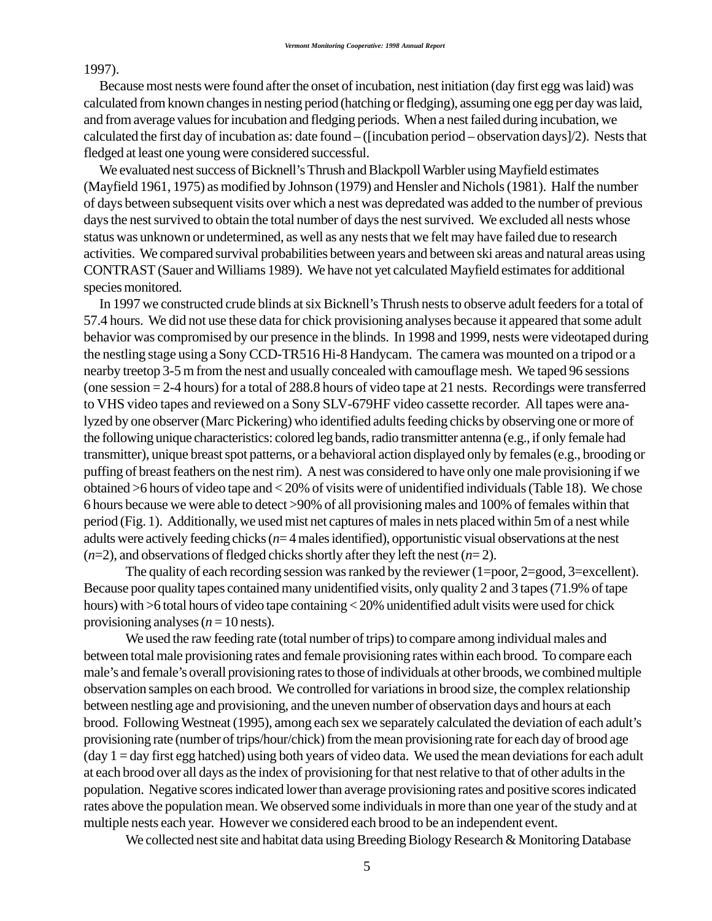#### 1997).

Because most nests were found after the onset of incubation, nest initiation (day first egg was laid) was calculated from known changes in nesting period (hatching or fledging), assuming one egg per day was laid, and from average values for incubation and fledging periods. When a nest failed during incubation, we calculated the first day of incubation as: date found – ([incubation period – observation days]/2). Nests that fledged at least one young were considered successful.

We evaluated nest success of Bicknell's Thrush and Blackpoll Warbler using Mayfield estimates (Mayfield 1961, 1975) as modified by Johnson (1979) and Hensler and Nichols (1981). Half the number of days between subsequent visits over which a nest was depredated was added to the number of previous days the nest survived to obtain the total number of days the nest survived. We excluded all nests whose status was unknown or undetermined, as well as any nests that we felt may have failed due to research activities. We compared survival probabilities between years and between ski areas and natural areas using CONTRAST (Sauer and Williams 1989). We have not yet calculated Mayfield estimates for additional species monitored.

In 1997 we constructed crude blinds at six Bicknell's Thrush nests to observe adult feeders for a total of 57.4 hours. We did not use these data for chick provisioning analyses because it appeared that some adult behavior was compromised by our presence in the blinds. In 1998 and 1999, nests were videotaped during the nestling stage using a Sony CCD-TR516 Hi-8 Handycam. The camera was mounted on a tripod or a nearby treetop 3-5 m from the nest and usually concealed with camouflage mesh. We taped 96 sessions (one session = 2-4 hours) for a total of 288.8 hours of video tape at 21 nests. Recordings were transferred to VHS video tapes and reviewed on a Sony SLV-679HF video cassette recorder. All tapes were analyzed by one observer (Marc Pickering) who identified adults feeding chicks by observing one or more of the following unique characteristics: colored leg bands, radio transmitter antenna (e.g., if only female had transmitter), unique breast spot patterns, or a behavioral action displayed only by females (e.g., brooding or puffing of breast feathers on the nest rim). A nest was considered to have only one male provisioning if we obtained >6 hours of video tape and < 20% of visits were of unidentified individuals (Table 18). We chose 6 hours because we were able to detect >90% of all provisioning males and 100% of females within that period (Fig. 1). Additionally, we used mist net captures of males in nets placed within 5m of a nest while adults were actively feeding chicks (*n*= 4 males identified), opportunistic visual observations at the nest  $(n=2)$ , and observations of fledged chicks shortly after they left the nest  $(n=2)$ .

The quality of each recording session was ranked by the reviewer  $(1=poor, 2=good, 3=excellent)$ . Because poor quality tapes contained many unidentified visits, only quality 2 and 3 tapes (71.9% of tape hours) with >6 total hours of video tape containing < 20% unidentified adult visits were used for chick provisioning analyses  $(n = 10 \text{ nests})$ .

We used the raw feeding rate (total number of trips) to compare among individual males and between total male provisioning rates and female provisioning rates within each brood. To compare each male's and female's overall provisioning rates to those of individuals at other broods, we combined multiple observation samples on each brood. We controlled for variations in brood size, the complex relationship between nestling age and provisioning, and the uneven number of observation days and hours at each brood. Following Westneat (1995), among each sex we separately calculated the deviation of each adult's provisioning rate (number of trips/hour/chick) from the mean provisioning rate for each day of brood age  $($ day 1 = day first egg hatched) using both years of video data. We used the mean deviations for each adult at each brood over all days as the index of provisioning for that nest relative to that of other adults in the population. Negative scores indicated lower than average provisioning rates and positive scores indicated rates above the population mean. We observed some individuals in more than one year of the study and at multiple nests each year. However we considered each brood to be an independent event.

We collected nest site and habitat data using Breeding Biology Research & Monitoring Database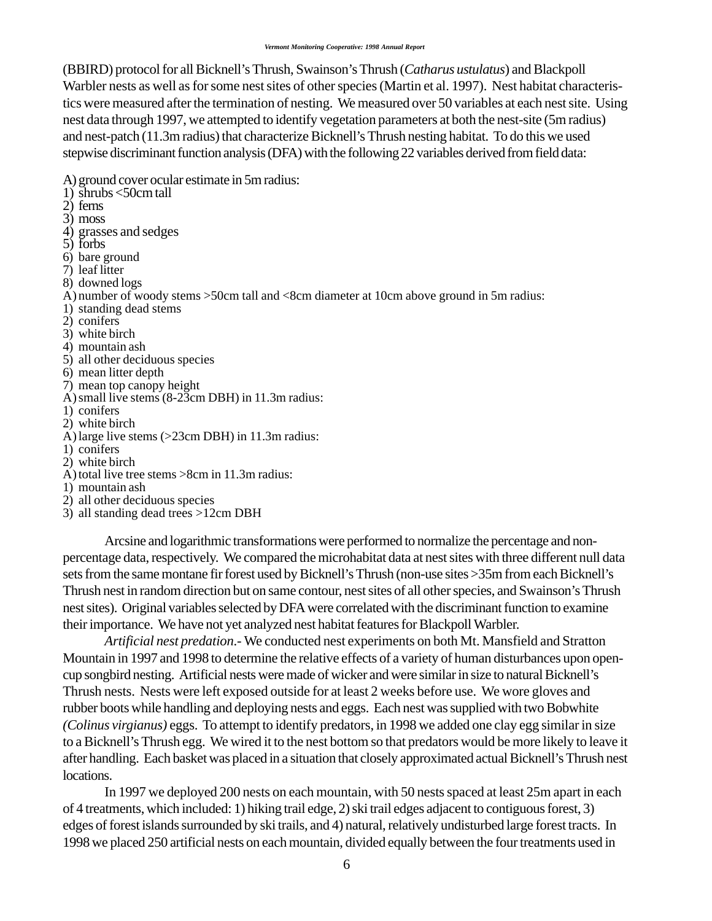(BBIRD) protocol for all Bicknell's Thrush, Swainson's Thrush (*Catharus ustulatus*) and Blackpoll Warbler nests as well as for some nest sites of other species (Martin et al. 1997). Nest habitat characteristics were measured after the termination of nesting. We measured over 50 variables at each nest site. Using nest data through 1997, we attempted to identify vegetation parameters at both the nest-site (5m radius) and nest-patch (11.3m radius) that characterize Bicknell's Thrush nesting habitat. To do this we used stepwise discriminant function analysis (DFA) with the following 22 variables derived from field data:

A) ground cover ocular estimate in 5m radius:

- $1)$  shrubs <50cm tall
- 2) ferns
- 3) moss
- 4) grasses and sedges
- 5) forbs
- 6) bare ground
- 7) leaf litter
- 8) downed logs
- A) number of woody stems >50cm tall and <8cm diameter at 10cm above ground in 5m radius:
- 1) standing dead stems
- 2) conifers
- 3) white birch
- 4) mountain ash
- 5) all other deciduous species
- 6) mean litter depth
- 7) mean top canopy height
- A) small live stems (8-23cm DBH) in 11.3m radius:
- 1) conifers
- 2) white birch
- A) large live stems (>23cm DBH) in 11.3m radius:
- 1) conifers
- 2) white birch
- A) total live tree stems >8cm in 11.3m radius:
- 1) mountain ash
- 2) all other deciduous species
- 3) all standing dead trees >12cm DBH

Arcsine and logarithmic transformations were performed to normalize the percentage and nonpercentage data, respectively. We compared the microhabitat data at nest sites with three different null data sets from the same montane fir forest used by Bicknell's Thrush (non-use sites >35m from each Bicknell's Thrush nest in random direction but on same contour, nest sites of all other species, and Swainson's Thrush nest sites). Original variables selected by DFA were correlated with the discriminant function to examine their importance. We have not yet analyzed nest habitat features for Blackpoll Warbler.

*Artificial nest predation*.- We conducted nest experiments on both Mt. Mansfield and Stratton Mountain in 1997 and 1998 to determine the relative effects of a variety of human disturbances upon opencup songbird nesting. Artificial nests were made of wicker and were similar in size to natural Bicknell's Thrush nests. Nests were left exposed outside for at least 2 weeks before use. We wore gloves and rubber boots while handling and deploying nests and eggs. Each nest was supplied with two Bobwhite *(Colinus virgianus)* eggs. To attempt to identify predators, in 1998 we added one clay egg similar in size to a Bicknell's Thrush egg. We wired it to the nest bottom so that predators would be more likely to leave it after handling. Each basket was placed in a situation that closely approximated actual Bicknell's Thrush nest locations.

In 1997 we deployed 200 nests on each mountain, with 50 nests spaced at least 25m apart in each of 4 treatments, which included: 1) hiking trail edge, 2) ski trail edges adjacent to contiguous forest, 3) edges of forest islands surrounded by ski trails, and 4) natural, relatively undisturbed large forest tracts. In 1998 we placed 250 artificial nests on each mountain, divided equally between the four treatments used in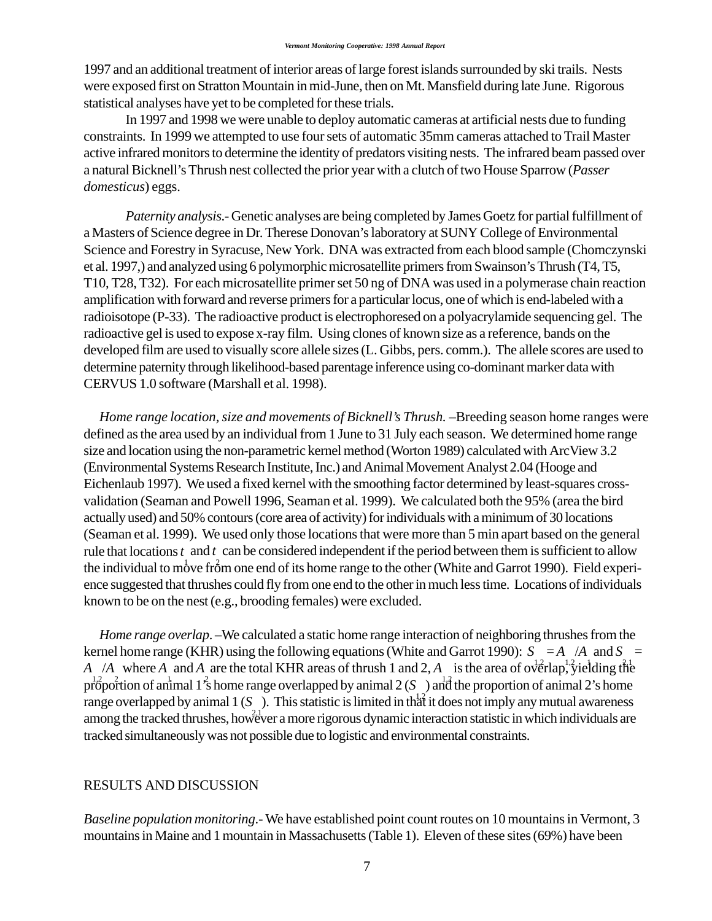1997 and an additional treatment of interior areas of large forest islands surrounded by ski trails. Nests were exposed first on Stratton Mountain in mid-June, then on Mt. Mansfield during late June. Rigorous statistical analyses have yet to be completed for these trials.

In 1997 and 1998 we were unable to deploy automatic cameras at artificial nests due to funding constraints. In 1999 we attempted to use four sets of automatic 35mm cameras attached to Trail Master active infrared monitors to determine the identity of predators visiting nests. The infrared beam passed over a natural Bicknell's Thrush nest collected the prior year with a clutch of two House Sparrow (*Passer domesticus*) eggs.

*Paternity analysis*.- Genetic analyses are being completed by James Goetz for partial fulfillment of a Masters of Science degree in Dr. Therese Donovan's laboratory at SUNY College of Environmental Science and Forestry in Syracuse, New York. DNA was extracted from each blood sample (Chomczynski et al. 1997,) and analyzed using 6 polymorphic microsatellite primers from Swainson's Thrush (T4, T5, T10, T28, T32). For each microsatellite primer set 50 ng of DNA was used in a polymerase chain reaction amplification with forward and reverse primers for a particular locus, one of which is end-labeled with a radioisotope (P-33). The radioactive product is electrophoresed on a polyacrylamide sequencing gel. The radioactive gel is used to expose x-ray film. Using clones of known size as a reference, bands on the developed film are used to visually score allele sizes (L. Gibbs, pers. comm.). The allele scores are used to determine paternity through likelihood-based parentage inference using co-dominant marker data with CERVUS 1.0 software (Marshall et al. 1998).

*Home range location, size and movements of Bicknell's Thrush.* –Breeding season home ranges were defined as the area used by an individual from 1 June to 31 July each season. We determined home range size and location using the non-parametric kernel method (Worton 1989) calculated with ArcView 3.2 (Environmental Systems Research Institute, Inc.) and Animal Movement Analyst 2.04 (Hooge and Eichenlaub 1997). We used a fixed kernel with the smoothing factor determined by least-squares crossvalidation (Seaman and Powell 1996, Seaman et al. 1999). We calculated both the 95% (area the bird actually used) and 50% contours (core area of activity) for individuals with a minimum of 30 locations (Seaman et al. 1999). We used only those locations that were more than 5 min apart based on the general rule that locations  $t$  and  $t$  can be considered independent if the period between them is sufficient to allow the individual to move from one end of its home range to the other (White and Garrot 1990). Field experience suggested that thrushes could fly from one end to the other in much less time. Locations of individuals known to be on the nest (e.g., brooding females) were excluded.

*Home range overlap*. –We calculated a static home range interaction of neighboring thrushes from the kernel home range (KHR) using the following equations (White and Garrot 1990):  $S = A /A$  and  $S =$ A /*A* where *A* and *A* are the total KHR areas of thrush 1 and 2, *A* is the area of overlap, yielding the proportion of animal 1<sup>2</sup> home range overlapped by animal 2 (*S*) and the proportion of animal 2's home range overlapped by animal 1 (*S*). This statistic is limited in that it does not imply any mutual awareness among the tracked thrushes, however a more rigorous dynamic interaction statistic in which individuals are tracked simultaneously was not possible due to logistic and environmental constraints.

# RESULTS AND DISCUSSION

*Baseline population monitoring*.- We have established point count routes on 10 mountains in Vermont, 3 mountains in Maine and 1 mountain in Massachusetts (Table 1). Eleven of these sites (69%) have been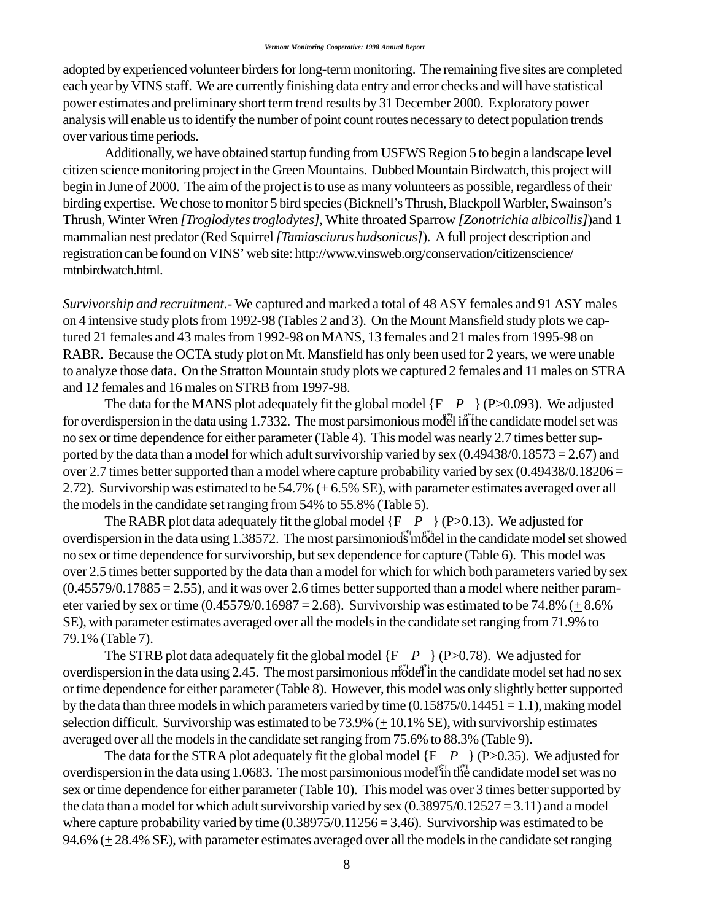adopted by experienced volunteer birders for long-term monitoring. The remaining five sites are completed each year by VINS staff. We are currently finishing data entry and error checks and will have statistical power estimates and preliminary short term trend results by 31 December 2000. Exploratory power analysis will enable us to identify the number of point count routes necessary to detect population trends over various time periods.

Additionally, we have obtained startup funding from USFWS Region 5 to begin a landscape level citizen science monitoring project in the Green Mountains. Dubbed Mountain Birdwatch, this project will begin in June of 2000. The aim of the project is to use as many volunteers as possible, regardless of their birding expertise. We chose to monitor 5 bird species (Bicknell's Thrush, Blackpoll Warbler, Swainson's Thrush, Winter Wren *[Troglodytes troglodytes]*, White throated Sparrow *[Zonotrichia albicollis]*)and 1 mammalian nest predator (Red Squirrel *[Tamiasciurus hudsonicus]*). A full project description and registration can be found on VINS' web site: http://www.vinsweb.org/conservation/citizenscience/ mtnbirdwatch.html.

*Survivorship and recruitment*.- We captured and marked a total of 48 ASY females and 91 ASY males on 4 intensive study plots from 1992-98 (Tables 2 and 3). On the Mount Mansfield study plots we captured 21 females and 43 males from 1992-98 on MANS, 13 females and 21 males from 1995-98 on RABR. Because the OCTA study plot on Mt. Mansfield has only been used for 2 years, we were unable to analyze those data. On the Stratton Mountain study plots we captured 2 females and 11 males on STRA and 12 females and 16 males on STRB from 1997-98.

The data for the MANS plot adequately fit the global model  $\{F \mid P \}$  (P>0.093). We adjusted for overdispersion in the data using 1.7332. The most parsimonious model in the candidate model set was no sex or time dependence for either parameter (Table 4). This model was nearly 2.7 times better supported by the data than a model for which adult survivorship varied by sex  $(0.49438/0.18573 = 2.67)$  and over 2.7 times better supported than a model where capture probability varied by sex (0.49438/0.18206 = 2.72). Survivorship was estimated to be 54.7% (+ 6.5% SE), with parameter estimates averaged over all the models in the candidate set ranging from 54% to 55.8% (Table 5).

The RABR plot data adequately fit the global model  $\{F \mid P \}$  (P>0.13). We adjusted for overdispersion in the data using 1.38572. The most parsimonious motion in the candidate model set showed no sex or time dependence for survivorship, but sex dependence for capture (Table 6). This model was over 2.5 times better supported by the data than a model for which for which both parameters varied by sex  $(0.45579/0.17885 = 2.55)$ , and it was over 2.6 times better supported than a model where neither parameter varied by sex or time  $(0.45579/0.16987 = 2.68)$ . Survivorship was estimated to be 74.8% ( $\pm$  8.6%) SE), with parameter estimates averaged over all the models in the candidate set ranging from 71.9% to 79.1% (Table 7).

The STRB plot data adequately fit the global model  $\{F \mid P \}$  (P>0.78). We adjusted for overdispersion in the data using 2.45. The most parsimonious model in the candidate model set had no sex or time dependence for either parameter (Table 8). However, this model was only slightly better supported by the data than three models in which parameters varied by time  $(0.15875/0.14451 = 1.1)$ , making model selection difficult. Survivorship was estimated to be 73.9%  $(\pm 10.1\%$  SE), with survivorship estimates averaged over all the models in the candidate set ranging from 75.6% to 88.3% (Table 9).

The data for the STRA plot adequately fit the global model  $\{F \mid P \}$  (P>0.35). We adjusted for overdispersion in the data using 1.0683. The most parsimonious model in the candidate model set was no sex or time dependence for either parameter (Table 10). This model was over 3 times better supported by the data than a model for which adult survivorship varied by sex  $(0.38975/0.12527 = 3.11)$  and a model where capture probability varied by time  $(0.38975/0.11256 = 3.46)$ . Survivorship was estimated to be 94.6% (+ 28.4% SE), with parameter estimates averaged over all the models in the candidate set ranging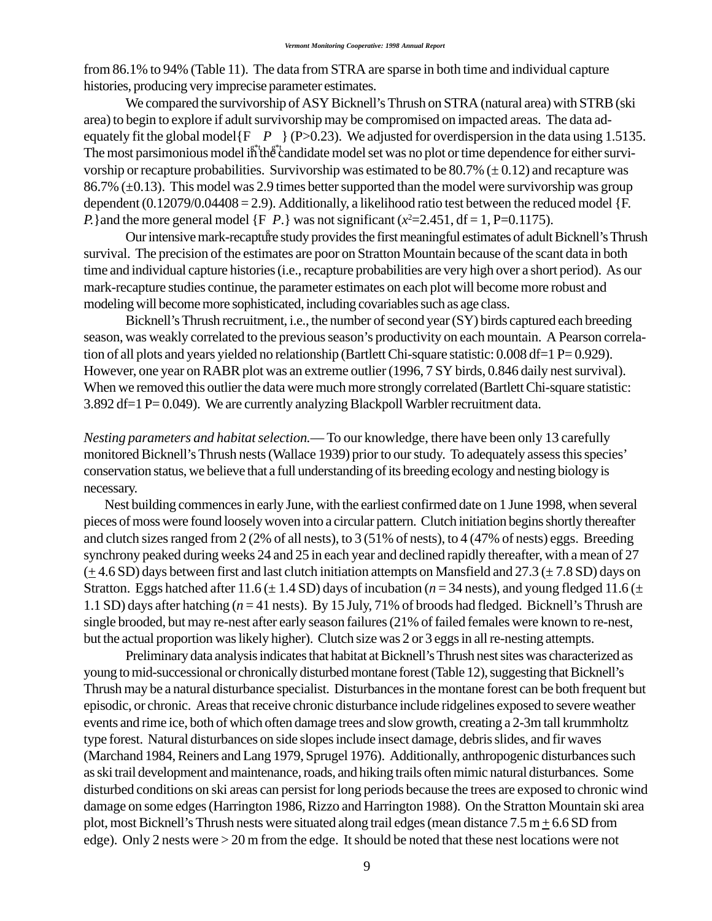from 86.1% to 94% (Table 11). The data from STRA are sparse in both time and individual capture histories, producing very imprecise parameter estimates.

We compared the survivorship of ASY Bicknell's Thrush on STRA (natural area) with STRB (ski area) to begin to explore if adult survivorship may be compromised on impacted areas. The data adequately fit the global model { $F$  *P* } (P>0.23). We adjusted for overdispersion in the data using 1.5135. The most parsimonious model in the candidate model set was no plot or time dependence for either survivorship or recapture probabilities. Survivorship was estimated to be  $80.7\%$  ( $\pm$  0.12) and recapture was 86.7% ( $\pm$ 0.13). This model was 2.9 times better supported than the model were survivorship was group dependent  $(0.12079/0.04408 = 2.9)$ . Additionally, a likelihood ratio test between the reduced model {F. *P.* } and the more general model {F  $P$ .} was not significant ( $x^2$ =2.451, df = 1, P=0.1175).

Our intensive mark-recapture study provides the first meaningful estimates of adult Bicknell's Thrush survival. The precision of the estimates are poor on Stratton Mountain because of the scant data in both time and individual capture histories (i.e., recapture probabilities are very high over a short period). As our mark-recapture studies continue, the parameter estimates on each plot will become more robust and modeling will become more sophisticated, including covariables such as age class.

Bicknell's Thrush recruitment, i.e., the number of second year (SY) birds captured each breeding season, was weakly correlated to the previous season's productivity on each mountain. A Pearson correlation of all plots and years yielded no relationship (Bartlett Chi-square statistic: 0.008 df=1 P= 0.929). However, one year on RABR plot was an extreme outlier (1996, 7 SY birds, 0.846 daily nest survival). When we removed this outlier the data were much more strongly correlated (Bartlett Chi-square statistic: 3.892 df =  $1 P = 0.049$ ). We are currently analyzing Blackpoll Warbler recruitment data.

*Nesting parameters and habitat selection.*— To our knowledge, there have been only 13 carefully monitored Bicknell's Thrush nests (Wallace 1939) prior to our study. To adequately assess this species' conservation status, we believe that a full understanding of its breeding ecology and nesting biology is necessary.

Nest building commences in early June, with the earliest confirmed date on 1 June 1998, when several pieces of moss were found loosely woven into a circular pattern. Clutch initiation begins shortly thereafter and clutch sizes ranged from 2 (2% of all nests), to 3 (51% of nests), to 4 (47% of nests) eggs. Breeding synchrony peaked during weeks 24 and 25 in each year and declined rapidly thereafter, with a mean of 27  $(+4.6$  SD) days between first and last clutch initiation attempts on Mansfield and  $27.3 (\pm 7.8$  SD) days on Stratton. Eggs hatched after 11.6 ( $\pm$  1.4 SD) days of incubation ( $n = 34$  nests), and young fledged 11.6 ( $\pm$ 1.1 SD) days after hatching (*n* = 41 nests). By 15 July, 71% of broods had fledged. Bicknell's Thrush are single brooded, but may re-nest after early season failures (21% of failed females were known to re-nest, but the actual proportion was likely higher). Clutch size was 2 or 3 eggs in all re-nesting attempts.

Preliminary data analysis indicates that habitat at Bicknell's Thrush nest sites was characterized as young to mid-successional or chronically disturbed montane forest (Table 12), suggesting that Bicknell's Thrush may be a natural disturbance specialist. Disturbances in the montane forest can be both frequent but episodic, or chronic. Areas that receive chronic disturbance include ridgelines exposed to severe weather events and rime ice, both of which often damage trees and slow growth, creating a 2-3m tall krummholtz type forest. Natural disturbances on side slopes include insect damage, debris slides, and fir waves (Marchand 1984, Reiners and Lang 1979, Sprugel 1976). Additionally, anthropogenic disturbances such as ski trail development and maintenance, roads, and hiking trails often mimic natural disturbances. Some disturbed conditions on ski areas can persist for long periods because the trees are exposed to chronic wind damage on some edges (Harrington 1986, Rizzo and Harrington 1988). On the Stratton Mountain ski area plot, most Bicknell's Thrush nests were situated along trail edges (mean distance  $7.5 \text{ m} \pm 6.6 \text{ SD}$  from edge). Only 2 nests were > 20 m from the edge. It should be noted that these nest locations were not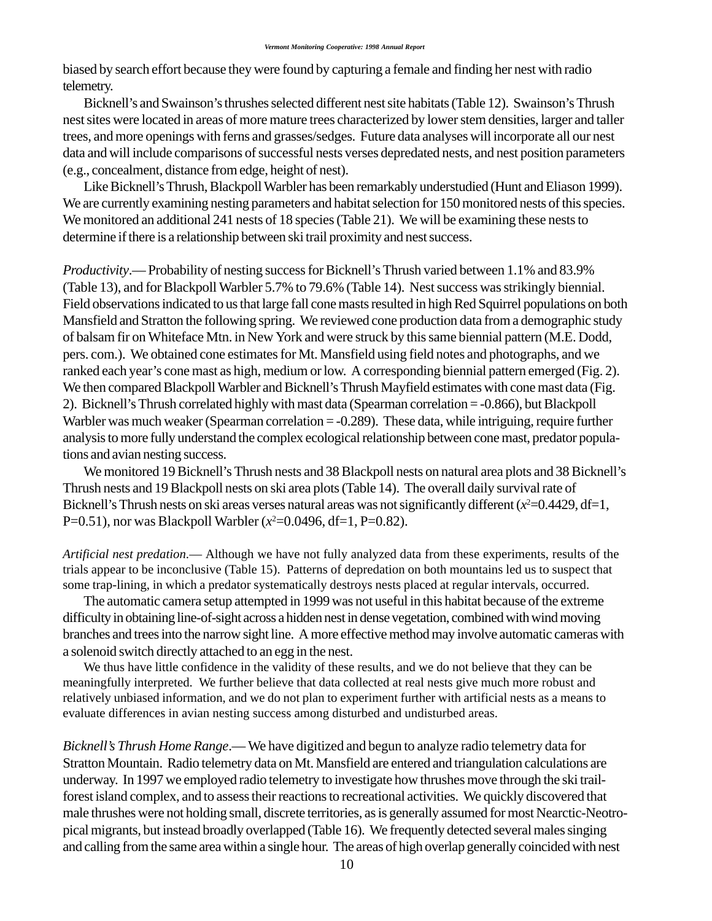biased by search effort because they were found by capturing a female and finding her nest with radio telemetry.

Bicknell's and Swainson's thrushes selected different nest site habitats (Table 12). Swainson's Thrush nest sites were located in areas of more mature trees characterized by lower stem densities, larger and taller trees, and more openings with ferns and grasses/sedges. Future data analyses will incorporate all our nest data and will include comparisons of successful nests verses depredated nests, and nest position parameters (e.g., concealment, distance from edge, height of nest).

Like Bicknell's Thrush, Blackpoll Warbler has been remarkably understudied (Hunt and Eliason 1999). We are currently examining nesting parameters and habitat selection for 150 monitored nests of this species. We monitored an additional 241 nests of 18 species (Table 21). We will be examining these nests to determine if there is a relationship between ski trail proximity and nest success.

*Productivity*.— Probability of nesting success for Bicknell's Thrush varied between 1.1% and 83.9% (Table 13), and for Blackpoll Warbler 5.7% to 79.6% (Table 14). Nest success was strikingly biennial. Field observations indicated to us that large fall cone masts resulted in high Red Squirrel populations on both Mansfield and Stratton the following spring. We reviewed cone production data from a demographic study of balsam fir on Whiteface Mtn. in New York and were struck by this same biennial pattern (M.E. Dodd, pers. com.). We obtained cone estimates for Mt. Mansfield using field notes and photographs, and we ranked each year's cone mast as high, medium or low. A corresponding biennial pattern emerged (Fig. 2). We then compared Blackpoll Warbler and Bicknell's Thrush Mayfield estimates with cone mast data (Fig. 2). Bicknell's Thrush correlated highly with mast data (Spearman correlation = -0.866), but Blackpoll Warbler was much weaker (Spearman correlation = -0.289). These data, while intriguing, require further analysis to more fully understand the complex ecological relationship between cone mast, predator populations and avian nesting success.

We monitored 19 Bicknell's Thrush nests and 38 Blackpoll nests on natural area plots and 38 Bicknell's Thrush nests and 19 Blackpoll nests on ski area plots (Table 14). The overall daily survival rate of Bicknell's Thrush nests on ski areas verses natural areas was not significantly different  $(x^2=0.4429, df=1,$ P=0.51), nor was Blackpoll Warbler (*x*<sup>2</sup>=0.0496, df=1, P=0.82).

*Artificial nest predation*.— Although we have not fully analyzed data from these experiments, results of the trials appear to be inconclusive (Table 15). Patterns of depredation on both mountains led us to suspect that some trap-lining, in which a predator systematically destroys nests placed at regular intervals, occurred.

The automatic camera setup attempted in 1999 was not useful in this habitat because of the extreme difficulty in obtaining line-of-sight across a hidden nest in dense vegetation, combined with wind moving branches and trees into the narrow sight line. A more effective method may involve automatic cameras with a solenoid switch directly attached to an egg in the nest.

We thus have little confidence in the validity of these results, and we do not believe that they can be meaningfully interpreted. We further believe that data collected at real nests give much more robust and relatively unbiased information, and we do not plan to experiment further with artificial nests as a means to evaluate differences in avian nesting success among disturbed and undisturbed areas.

*Bicknell's Thrush Home Range*.— We have digitized and begun to analyze radio telemetry data for Stratton Mountain. Radio telemetry data on Mt. Mansfield are entered and triangulation calculations are underway. In 1997 we employed radio telemetry to investigate how thrushes move through the ski trailforest island complex, and to assess their reactions to recreational activities. We quickly discovered that male thrushes were not holding small, discrete territories, as is generally assumed for most Nearctic-Neotropical migrants, but instead broadly overlapped (Table 16). We frequently detected several males singing and calling from the same area within a single hour. The areas of high overlap generally coincided with nest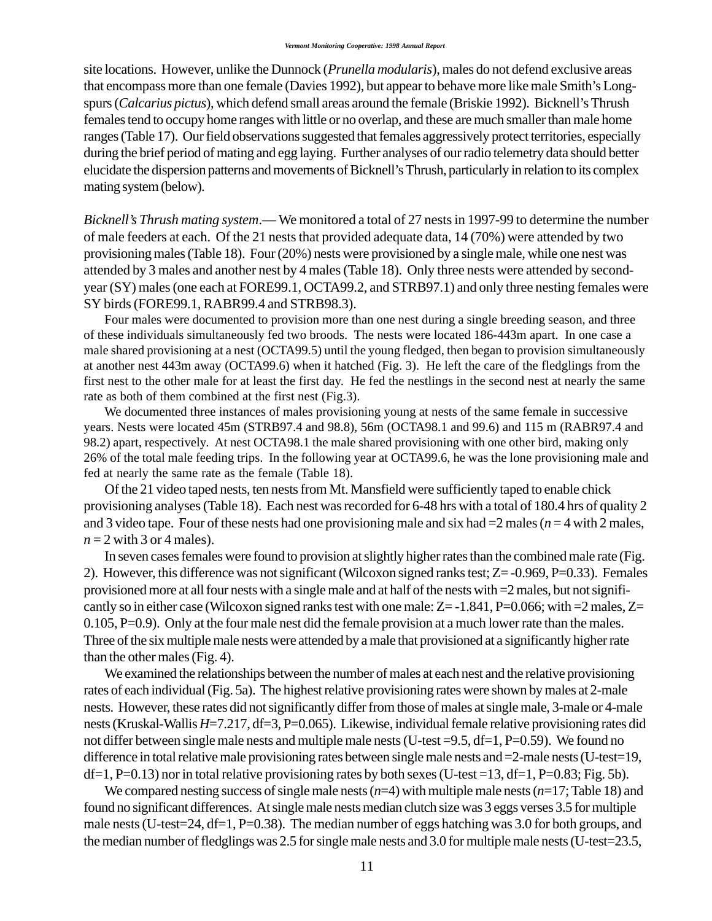site locations. However, unlike the Dunnock (*Prunella modularis*), males do not defend exclusive areas that encompass more than one female (Davies 1992), but appear to behave more like male Smith's Longspurs (*Calcarius pictus*), which defend small areas around the female (Briskie 1992). Bicknell's Thrush females tend to occupy home ranges with little or no overlap, and these are much smaller than male home ranges (Table 17). Our field observations suggested that females aggressively protect territories, especially during the brief period of mating and egg laying. Further analyses of our radio telemetry data should better elucidate the dispersion patterns and movements of Bicknell's Thrush, particularly in relation to its complex mating system (below).

*Bicknell's Thrush mating system*.— We monitored a total of 27 nests in 1997-99 to determine the number of male feeders at each. Of the 21 nests that provided adequate data, 14 (70%) were attended by two provisioning males (Table 18). Four (20%) nests were provisioned by a single male, while one nest was attended by 3 males and another nest by 4 males (Table 18). Only three nests were attended by secondyear (SY) males (one each at FORE99.1, OCTA99.2, and STRB97.1) and only three nesting females were SY birds (FORE99.1, RABR99.4 and STRB98.3).

Four males were documented to provision more than one nest during a single breeding season, and three of these individuals simultaneously fed two broods. The nests were located 186-443m apart. In one case a male shared provisioning at a nest (OCTA99.5) until the young fledged, then began to provision simultaneously at another nest 443m away (OCTA99.6) when it hatched (Fig. 3). He left the care of the fledglings from the first nest to the other male for at least the first day. He fed the nestlings in the second nest at nearly the same rate as both of them combined at the first nest (Fig.3).

We documented three instances of males provisioning young at nests of the same female in successive years. Nests were located 45m (STRB97.4 and 98.8), 56m (OCTA98.1 and 99.6) and 115 m (RABR97.4 and 98.2) apart, respectively. At nest OCTA98.1 the male shared provisioning with one other bird, making only 26% of the total male feeding trips. In the following year at OCTA99.6, he was the lone provisioning male and fed at nearly the same rate as the female (Table 18).

Of the 21 video taped nests, ten nests from Mt. Mansfield were sufficiently taped to enable chick provisioning analyses (Table 18). Each nest was recorded for 6-48 hrs with a total of 180.4 hrs of quality 2 and 3 video tape. Four of these nests had one provisioning male and six had  $=2$  males ( $n = 4$  with 2 males,  $n = 2$  with 3 or 4 males).

In seven cases females were found to provision at slightly higher rates than the combined male rate (Fig. 2). However, this difference was not significant (Wilcoxon signed ranks test; Z= -0.969, P=0.33). Females provisioned more at all four nests with a single male and at half of the nests with =2 males, but not significantly so in either case (Wilcoxon signed ranks test with one male:  $Z = -1.841$ ,  $P = 0.066$ ; with  $= 2$  males,  $Z =$ 0.105, P=0.9). Only at the four male nest did the female provision at a much lower rate than the males. Three of the six multiple male nests were attended by a male that provisioned at a significantly higher rate than the other males (Fig. 4).

We examined the relationships between the number of males at each nest and the relative provisioning rates of each individual (Fig. 5a). The highest relative provisioning rates were shown by males at 2-male nests. However, these rates did not significantly differ from those of males at single male, 3-male or 4-male nests (Kruskal-Wallis *H*=7.217, df=3, P=0.065). Likewise, individual female relative provisioning rates did not differ between single male nests and multiple male nests (U-test =9.5, df=1, P=0.59). We found no difference in total relative male provisioning rates between single male nests and =2-male nests (U-test=19,  $df=1$ , P=0.13) nor in total relative provisioning rates by both sexes (U-test =13, df =1, P=0.83; Fig. 5b).

We compared nesting success of single male nests (*n*=4) with multiple male nests (*n*=17; Table 18) and found no significant differences. At single male nests median clutch size was 3 eggs verses 3.5 for multiple male nests (U-test=24, df=1, P=0.38). The median number of eggs hatching was 3.0 for both groups, and the median number of fledglings was 2.5 for single male nests and 3.0 for multiple male nests (U-test=23.5,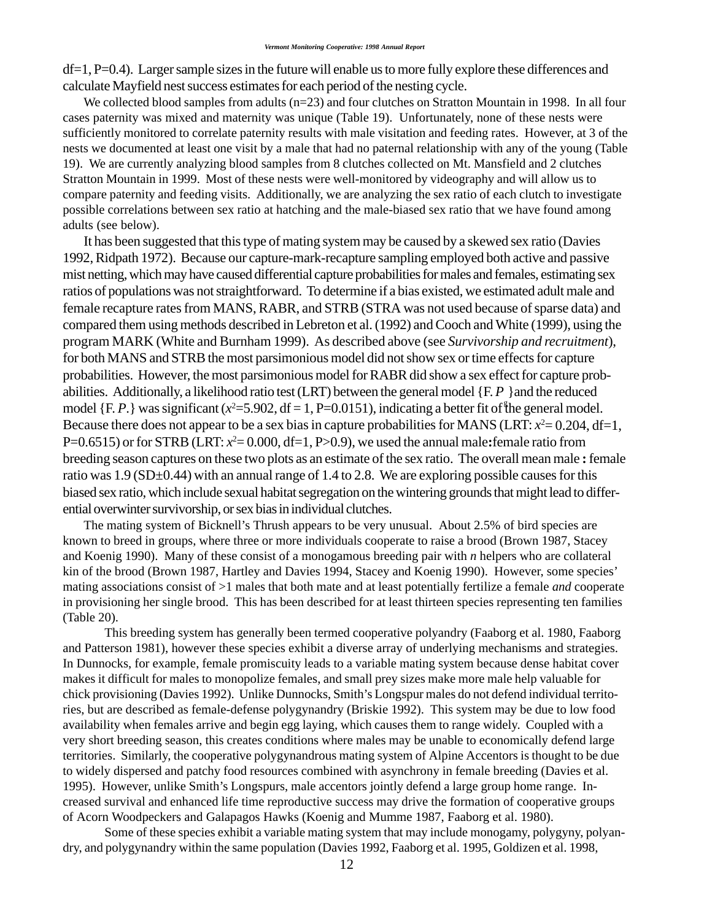df=1, P=0.4). Larger sample sizes in the future will enable us to more fully explore these differences and calculate Mayfield nest success estimates for each period of the nesting cycle.

We collected blood samples from adults (n=23) and four clutches on Stratton Mountain in 1998. In all four cases paternity was mixed and maternity was unique (Table 19). Unfortunately, none of these nests were sufficiently monitored to correlate paternity results with male visitation and feeding rates. However, at 3 of the nests we documented at least one visit by a male that had no paternal relationship with any of the young (Table 19). We are currently analyzing blood samples from 8 clutches collected on Mt. Mansfield and 2 clutches Stratton Mountain in 1999. Most of these nests were well-monitored by videography and will allow us to compare paternity and feeding visits. Additionally, we are analyzing the sex ratio of each clutch to investigate possible correlations between sex ratio at hatching and the male-biased sex ratio that we have found among adults (see below).

It has been suggested that this type of mating system may be caused by a skewed sex ratio (Davies 1992, Ridpath 1972). Because our capture-mark-recapture sampling employed both active and passive mist netting, which may have caused differential capture probabilities for males and females, estimating sex ratios of populations was not straightforward. To determine if a bias existed, we estimated adult male and female recapture rates from MANS, RABR, and STRB (STRA was not used because of sparse data) and compared them using methods described in Lebreton et al. (1992) and Cooch and White (1999), using the program MARK (White and Burnham 1999). As described above (see *Survivorship and recruitment*), for both MANS and STRB the most parsimonious model did not show sex or time effects for capture probabilities. However, the most parsimonious model for RABR did show a sex effect for capture probabilities. Additionally, a likelihood ratio test (LRT) between the general model {F. *P* }and the reduced model {F. *P*.} was significant ( $x^2$ =5.902, df = 1, P=0.0151), indicating a better fit of the general model. Because there does not appear to be a sex bias in capture probabilities for MANS (LRT:  $x^2 = 0.204$ , df=1, P=0.6515) or for STRB (LRT:  $x^2$ =0.000, df=1, P>0.9), we used the annual male:female ratio from breeding season captures on these two plots as an estimate of the sex ratio. The overall mean male **:** female ratio was  $1.9 \text{ (SD<sub>±</sub>0.44)}$  with an annual range of 1.4 to 2.8. We are exploring possible causes for this biased sex ratio, which include sexual habitat segregation on the wintering grounds that might lead to differential overwinter survivorship, or sex bias in individual clutches.

The mating system of Bicknell's Thrush appears to be very unusual. About 2.5% of bird species are known to breed in groups, where three or more individuals cooperate to raise a brood (Brown 1987, Stacey and Koenig 1990). Many of these consist of a monogamous breeding pair with *n* helpers who are collateral kin of the brood (Brown 1987, Hartley and Davies 1994, Stacey and Koenig 1990). However, some species' mating associations consist of >1 males that both mate and at least potentially fertilize a female *and* cooperate in provisioning her single brood. This has been described for at least thirteen species representing ten families (Table 20).

This breeding system has generally been termed cooperative polyandry (Faaborg et al. 1980, Faaborg and Patterson 1981), however these species exhibit a diverse array of underlying mechanisms and strategies. In Dunnocks, for example, female promiscuity leads to a variable mating system because dense habitat cover makes it difficult for males to monopolize females, and small prey sizes make more male help valuable for chick provisioning (Davies 1992). Unlike Dunnocks, Smith's Longspur males do not defend individual territories, but are described as female-defense polygynandry (Briskie 1992). This system may be due to low food availability when females arrive and begin egg laying, which causes them to range widely. Coupled with a very short breeding season, this creates conditions where males may be unable to economically defend large territories. Similarly, the cooperative polygynandrous mating system of Alpine Accentors is thought to be due to widely dispersed and patchy food resources combined with asynchrony in female breeding (Davies et al. 1995). However, unlike Smith's Longspurs, male accentors jointly defend a large group home range. Increased survival and enhanced life time reproductive success may drive the formation of cooperative groups of Acorn Woodpeckers and Galapagos Hawks (Koenig and Mumme 1987, Faaborg et al. 1980).

Some of these species exhibit a variable mating system that may include monogamy, polygyny, polyandry, and polygynandry within the same population (Davies 1992, Faaborg et al. 1995, Goldizen et al. 1998,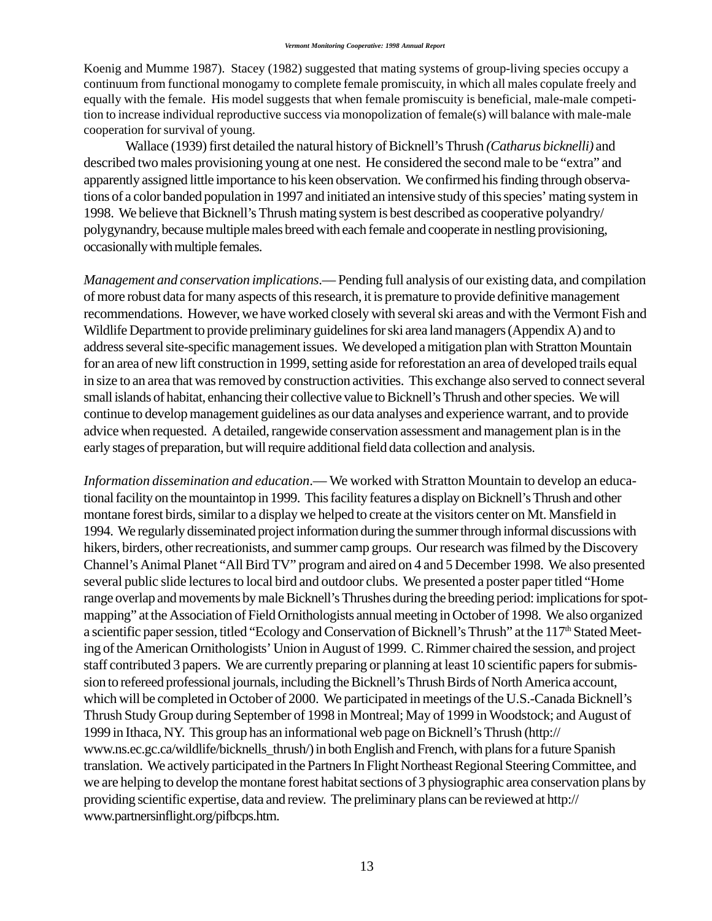Koenig and Mumme 1987). Stacey (1982) suggested that mating systems of group-living species occupy a continuum from functional monogamy to complete female promiscuity, in which all males copulate freely and equally with the female. His model suggests that when female promiscuity is beneficial, male-male competition to increase individual reproductive success via monopolization of female(s) will balance with male-male cooperation for survival of young.

Wallace (1939) first detailed the natural history of Bicknell's Thrush *(Catharus bicknelli)* and described two males provisioning young at one nest. He considered the second male to be "extra" and apparently assigned little importance to his keen observation. We confirmed his finding through observations of a color banded population in 1997 and initiated an intensive study of this species' mating system in 1998. We believe that Bicknell's Thrush mating system is best described as cooperative polyandry/ polygynandry, because multiple males breed with each female and cooperate in nestling provisioning, occasionally with multiple females.

*Management and conservation implications*.— Pending full analysis of our existing data, and compilation of more robust data for many aspects of this research, it is premature to provide definitive management recommendations. However, we have worked closely with several ski areas and with the Vermont Fish and Wildlife Department to provide preliminary guidelines for ski area land managers (Appendix A) and to address several site-specific management issues. We developed a mitigation plan with Stratton Mountain for an area of new lift construction in 1999, setting aside for reforestation an area of developed trails equal in size to an area that was removed by construction activities. This exchange also served to connect several small islands of habitat, enhancing their collective value to Bicknell's Thrush and other species. We will continue to develop management guidelines as our data analyses and experience warrant, and to provide advice when requested. A detailed, rangewide conservation assessment and management plan is in the early stages of preparation, but will require additional field data collection and analysis.

*Information dissemination and education*.— We worked with Stratton Mountain to develop an educational facility on the mountaintop in 1999. This facility features a display on Bicknell's Thrush and other montane forest birds, similar to a display we helped to create at the visitors center on Mt. Mansfield in 1994. We regularly disseminated project information during the summer through informal discussions with hikers, birders, other recreationists, and summer camp groups. Our research was filmed by the Discovery Channel's Animal Planet "All Bird TV" program and aired on 4 and 5 December 1998. We also presented several public slide lectures to local bird and outdoor clubs. We presented a poster paper titled "Home range overlap and movements by male Bicknell's Thrushes during the breeding period: implications for spotmapping" at the Association of Field Ornithologists annual meeting in October of 1998. We also organized a scientific paper session, titled "Ecology and Conservation of Bicknell's Thrush" at the 117<sup>th</sup> Stated Meeting of the American Ornithologists' Union in August of 1999. C. Rimmer chaired the session, and project staff contributed 3 papers. We are currently preparing or planning at least 10 scientific papers for submission to refereed professional journals, including the Bicknell's Thrush Birds of North America account, which will be completed in October of 2000. We participated in meetings of the U.S.-Canada Bicknell's Thrush Study Group during September of 1998 in Montreal; May of 1999 in Woodstock; and August of 1999 in Ithaca, NY. This group has an informational web page on Bicknell's Thrush (http:// www.ns.ec.gc.ca/wildlife/bicknells\_thrush/) in both English and French, with plans for a future Spanish translation. We actively participated in the Partners In Flight Northeast Regional Steering Committee, and we are helping to develop the montane forest habitat sections of 3 physiographic area conservation plans by providing scientific expertise, data and review. The preliminary plans can be reviewed at http:// www.partnersinflight.org/pifbcps.htm.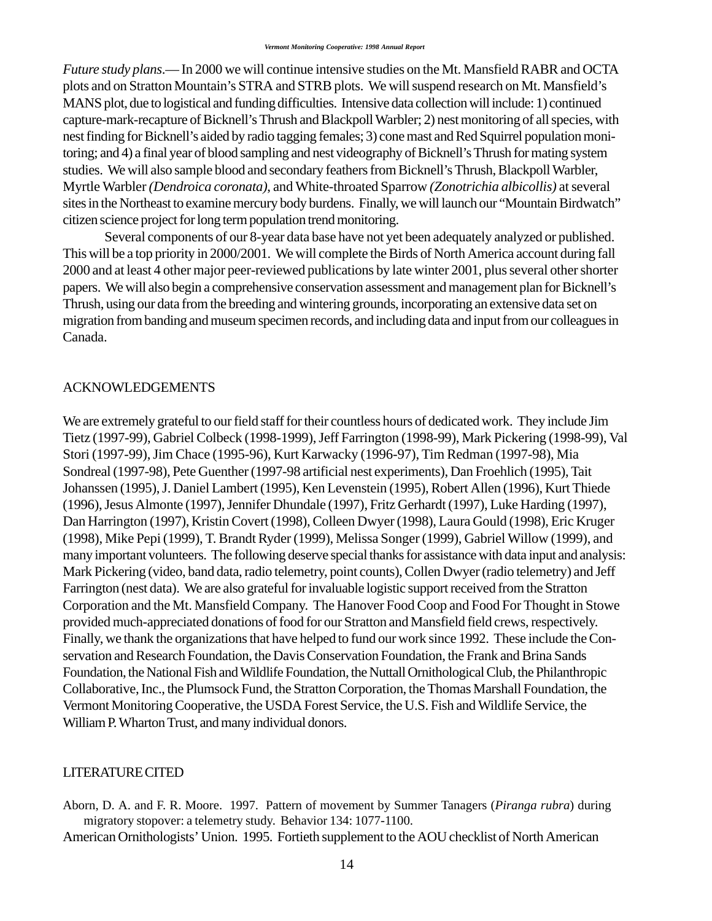*Future study plans*.— In 2000 we will continue intensive studies on the Mt. Mansfield RABR and OCTA plots and on Stratton Mountain's STRA and STRB plots. We will suspend research on Mt. Mansfield's MANS plot, due to logistical and funding difficulties. Intensive data collection will include: 1) continued capture-mark-recapture of Bicknell's Thrush and Blackpoll Warbler; 2) nest monitoring of all species, with nest finding for Bicknell's aided by radio tagging females; 3) cone mast and Red Squirrel population monitoring; and 4) a final year of blood sampling and nest videography of Bicknell's Thrush for mating system studies. We will also sample blood and secondary feathers from Bicknell's Thrush, Blackpoll Warbler, Myrtle Warbler *(Dendroica coronata)*, and White-throated Sparrow *(Zonotrichia albicollis)* at several sites in the Northeast to examine mercury body burdens. Finally, we will launch our "Mountain Birdwatch" citizen science project for long term population trend monitoring.

Several components of our 8-year data base have not yet been adequately analyzed or published. This will be a top priority in 2000/2001. We will complete the Birds of North America account during fall 2000 and at least 4 other major peer-reviewed publications by late winter 2001, plus several other shorter papers. We will also begin a comprehensive conservation assessment and management plan for Bicknell's Thrush, using our data from the breeding and wintering grounds, incorporating an extensive data set on migration from banding and museum specimen records, and including data and input from our colleagues in Canada.

# ACKNOWLEDGEMENTS

We are extremely grateful to our field staff for their countless hours of dedicated work. They include Jim Tietz (1997-99), Gabriel Colbeck (1998-1999), Jeff Farrington (1998-99), Mark Pickering (1998-99), Val Stori (1997-99), Jim Chace (1995-96), Kurt Karwacky (1996-97), Tim Redman (1997-98), Mia Sondreal (1997-98), Pete Guenther (1997-98 artificial nest experiments), Dan Froehlich (1995), Tait Johanssen (1995), J. Daniel Lambert (1995), Ken Levenstein (1995), Robert Allen (1996), Kurt Thiede (1996), Jesus Almonte (1997), Jennifer Dhundale (1997), Fritz Gerhardt (1997), Luke Harding (1997), Dan Harrington (1997), Kristin Covert (1998), Colleen Dwyer (1998), Laura Gould (1998), Eric Kruger (1998), Mike Pepi (1999), T. Brandt Ryder (1999), Melissa Songer (1999), Gabriel Willow (1999), and many important volunteers. The following deserve special thanks for assistance with data input and analysis: Mark Pickering (video, band data, radio telemetry, point counts), Collen Dwyer (radio telemetry) and Jeff Farrington (nest data). We are also grateful for invaluable logistic support received from the Stratton Corporation and the Mt. Mansfield Company. The Hanover Food Coop and Food For Thought in Stowe provided much-appreciated donations of food for our Stratton and Mansfield field crews, respectively. Finally, we thank the organizations that have helped to fund our work since 1992. These include the Conservation and Research Foundation, the Davis Conservation Foundation, the Frank and Brina Sands Foundation, the National Fish and Wildlife Foundation, the Nuttall Ornithological Club, the Philanthropic Collaborative, Inc., the Plumsock Fund, the Stratton Corporation, the Thomas Marshall Foundation, the Vermont Monitoring Cooperative, the USDA Forest Service, the U.S. Fish and Wildlife Service, the William P. Wharton Trust, and many individual donors.

# LITERATURE CITED

Aborn, D. A. and F. R. Moore. 1997. Pattern of movement by Summer Tanagers (*Piranga rubra*) during migratory stopover: a telemetry study. Behavior 134: 1077-1100.

American Ornithologists' Union. 1995. Fortieth supplement to the AOU checklist of North American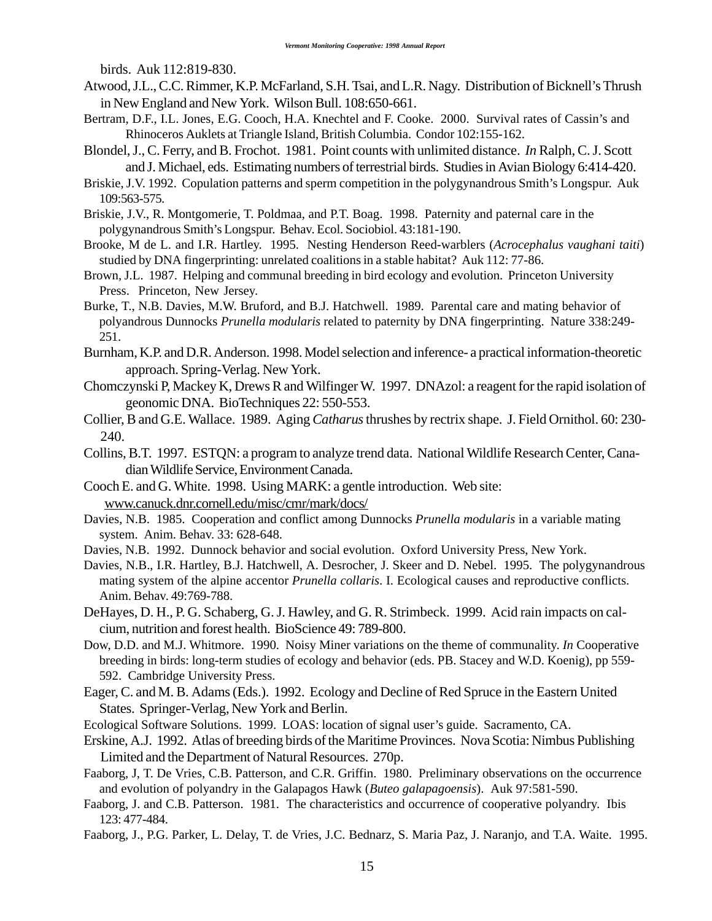birds. Auk 112:819-830.

- Atwood, J.L., C.C. Rimmer, K.P. McFarland, S.H. Tsai, and L.R. Nagy. Distribution of Bicknell's Thrush in New England and New York. Wilson Bull. 108:650-661.
- Bertram, D.F., I.L. Jones, E.G. Cooch, H.A. Knechtel and F. Cooke. 2000. Survival rates of Cassin's and Rhinoceros Auklets at Triangle Island, British Columbia. Condor 102:155-162.
- Blondel, J., C. Ferry, and B. Frochot. 1981. Point counts with unlimited distance. *In* Ralph, C. J. Scott and J. Michael, eds. Estimating numbers of terrestrial birds. Studies in Avian Biology 6:414-420.
- Briskie, J.V. 1992. Copulation patterns and sperm competition in the polygynandrous Smith's Longspur. Auk 109:563-575.
- Briskie, J.V., R. Montgomerie, T. Poldmaa, and P.T. Boag. 1998. Paternity and paternal care in the polygynandrous Smith's Longspur. Behav. Ecol. Sociobiol. 43:181-190.
- Brooke, M de L. and I.R. Hartley. 1995. Nesting Henderson Reed-warblers (*Acrocephalus vaughani taiti*) studied by DNA fingerprinting: unrelated coalitions in a stable habitat? Auk 112: 77-86.
- Brown, J.L. 1987. Helping and communal breeding in bird ecology and evolution. Princeton University Press. Princeton, New Jersey.
- Burke, T., N.B. Davies, M.W. Bruford, and B.J. Hatchwell. 1989. Parental care and mating behavior of polyandrous Dunnocks *Prunella modularis* related to paternity by DNA fingerprinting. Nature 338:249- 251.
- Burnham, K.P. and D.R. Anderson. 1998. Model selection and inference- a practical information-theoretic approach. Spring-Verlag. New York.
- Chomczynski P, Mackey K, Drews R and Wilfinger W. 1997. DNAzol: a reagent for the rapid isolation of geonomic DNA. BioTechniques 22: 550-553.
- Collier, B and G.E. Wallace. 1989. Aging *Catharus* thrushes by rectrix shape. J. Field Ornithol. 60: 230- 240.
- Collins, B.T. 1997. ESTQN: a program to analyze trend data. National Wildlife Research Center, Canadian Wildlife Service, Environment Canada.
- Cooch E. and G. White. 1998. Using MARK: a gentle introduction. Web site: www.canuck.dnr.cornell.edu/misc/cmr/mark/docs/
- Davies, N.B. 1985. Cooperation and conflict among Dunnocks *Prunella modularis* in a variable mating system. Anim. Behav. 33: 628-648.
- Davies, N.B. 1992. Dunnock behavior and social evolution. Oxford University Press, New York.

Davies, N.B., I.R. Hartley, B.J. Hatchwell, A. Desrocher, J. Skeer and D. Nebel. 1995. The polygynandrous mating system of the alpine accentor *Prunella collaris*. I. Ecological causes and reproductive conflicts. Anim. Behav. 49:769-788.

- DeHayes, D. H., P. G. Schaberg, G. J. Hawley, and G. R. Strimbeck. 1999. Acid rain impacts on calcium, nutrition and forest health. BioScience 49: 789-800.
- Dow, D.D. and M.J. Whitmore. 1990. Noisy Miner variations on the theme of communality. *In* Cooperative breeding in birds: long-term studies of ecology and behavior (eds. PB. Stacey and W.D. Koenig), pp 559- 592. Cambridge University Press.
- Eager, C. and M. B. Adams (Eds.). 1992. Ecology and Decline of Red Spruce in the Eastern United States. Springer-Verlag, New York and Berlin.

Ecological Software Solutions. 1999. LOAS: location of signal user's guide. Sacramento, CA.

- Erskine, A.J. 1992. Atlas of breeding birds of the Maritime Provinces. Nova Scotia: Nimbus Publishing Limited and the Department of Natural Resources. 270p.
- Faaborg, J, T. De Vries, C.B. Patterson, and C.R. Griffin. 1980. Preliminary observations on the occurrence and evolution of polyandry in the Galapagos Hawk (*Buteo galapagoensis*). Auk 97:581-590.
- Faaborg, J. and C.B. Patterson. 1981. The characteristics and occurrence of cooperative polyandry. Ibis 123: 477-484.
- Faaborg, J., P.G. Parker, L. Delay, T. de Vries, J.C. Bednarz, S. Maria Paz, J. Naranjo, and T.A. Waite. 1995.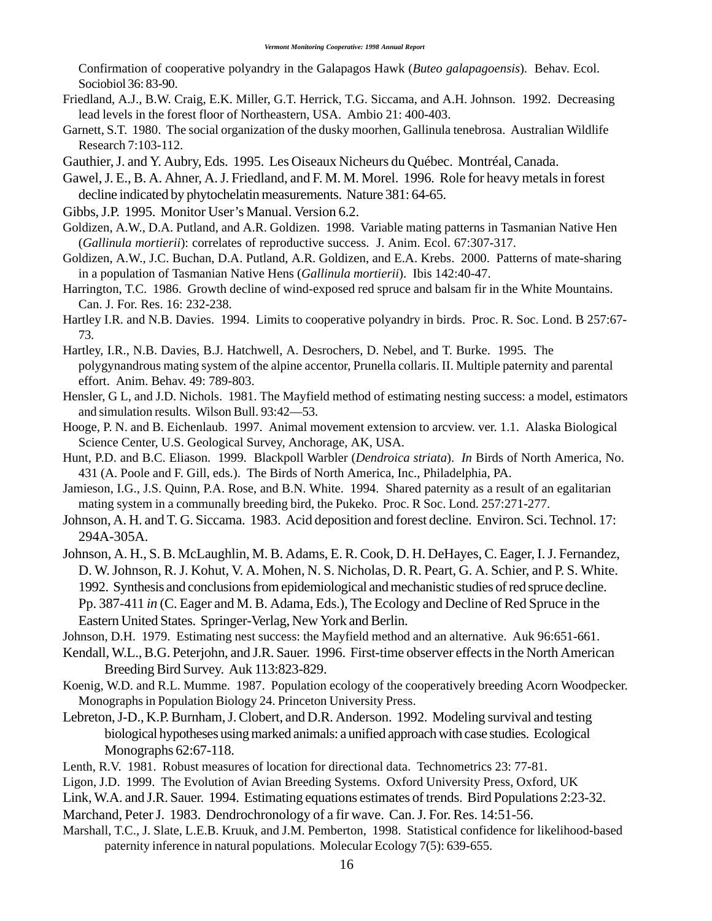Confirmation of cooperative polyandry in the Galapagos Hawk (*Buteo galapagoensis*). Behav. Ecol. Sociobiol 36: 83-90.

- Friedland, A.J., B.W. Craig, E.K. Miller, G.T. Herrick, T.G. Siccama, and A.H. Johnson. 1992. Decreasing lead levels in the forest floor of Northeastern, USA. Ambio 21: 400-403.
- Garnett, S.T. 1980. The social organization of the dusky moorhen, Gallinula tenebrosa. Australian Wildlife Research 7:103-112.
- Gauthier, J. and Y. Aubry, Eds. 1995. Les Oiseaux Nicheurs du Québec. Montréal, Canada.
- Gawel, J. E., B. A. Ahner, A. J. Friedland, and F. M. M. Morel. 1996. Role for heavy metals in forest decline indicated by phytochelatin measurements. Nature 381: 64-65.
- Gibbs, J.P. 1995. Monitor User's Manual. Version 6.2.
- Goldizen, A.W., D.A. Putland, and A.R. Goldizen. 1998. Variable mating patterns in Tasmanian Native Hen (*Gallinula mortierii*): correlates of reproductive success. J. Anim. Ecol. 67:307-317.
- Goldizen, A.W., J.C. Buchan, D.A. Putland, A.R. Goldizen, and E.A. Krebs. 2000. Patterns of mate-sharing in a population of Tasmanian Native Hens (*Gallinula mortierii*). Ibis 142:40-47.
- Harrington, T.C. 1986. Growth decline of wind-exposed red spruce and balsam fir in the White Mountains. Can. J. For. Res. 16: 232-238.
- Hartley I.R. and N.B. Davies. 1994. Limits to cooperative polyandry in birds. Proc. R. Soc. Lond. B 257:67- 73.
- Hartley, I.R., N.B. Davies, B.J. Hatchwell, A. Desrochers, D. Nebel, and T. Burke. 1995. The polygynandrous mating system of the alpine accentor, Prunella collaris. II. Multiple paternity and parental effort. Anim. Behav. 49: 789-803.
- Hensler, G L, and J.D. Nichols. 1981. The Mayfield method of estimating nesting success: a model, estimators and simulation results. Wilson Bull. 93:42—53.
- Hooge, P. N. and B. Eichenlaub. 1997. Animal movement extension to arcview. ver. 1.1. Alaska Biological Science Center, U.S. Geological Survey, Anchorage, AK, USA.
- Hunt, P.D. and B.C. Eliason. 1999. Blackpoll Warbler (*Dendroica striata*). *In* Birds of North America, No. 431 (A. Poole and F. Gill, eds.). The Birds of North America, Inc., Philadelphia, PA.
- Jamieson, I.G., J.S. Quinn, P.A. Rose, and B.N. White. 1994. Shared paternity as a result of an egalitarian mating system in a communally breeding bird, the Pukeko. Proc. R Soc. Lond. 257:271-277.
- Johnson, A. H. and T. G. Siccama. 1983. Acid deposition and forest decline. Environ. Sci. Technol. 17: 294A-305A.
- Johnson, A. H., S. B. McLaughlin, M. B. Adams, E. R. Cook, D. H. DeHayes, C. Eager, I. J. Fernandez, D. W. Johnson, R. J. Kohut, V. A. Mohen, N. S. Nicholas, D. R. Peart, G. A. Schier, and P. S. White. 1992. Synthesis and conclusions from epidemiological and mechanistic studies of red spruce decline. Pp. 387-411 *in* (C. Eager and M. B. Adama, Eds.), The Ecology and Decline of Red Spruce in the Eastern United States. Springer-Verlag, New York and Berlin.
- Johnson, D.H. 1979. Estimating nest success: the Mayfield method and an alternative. Auk 96:651-661.
- Kendall, W.L., B.G. Peterjohn, and J.R. Sauer. 1996. First-time observer effects in the North American Breeding Bird Survey. Auk 113:823-829.
- Koenig, W.D. and R.L. Mumme. 1987. Population ecology of the cooperatively breeding Acorn Woodpecker. Monographs in Population Biology 24. Princeton University Press.
- Lebreton, J-D., K.P. Burnham, J. Clobert, and D.R. Anderson. 1992. Modeling survival and testing biological hypotheses using marked animals: a unified approach with case studies. Ecological Monographs 62:67-118.
- Lenth, R.V. 1981. Robust measures of location for directional data. Technometrics 23: 77-81.
- Ligon, J.D. 1999. The Evolution of Avian Breeding Systems. Oxford University Press, Oxford, UK
- Link, W.A. and J.R. Sauer. 1994. Estimating equations estimates of trends. Bird Populations 2:23-32.
- Marchand, Peter J. 1983. Dendrochronology of a fir wave. Can. J. For. Res. 14:51-56.
- Marshall, T.C., J. Slate, L.E.B. Kruuk, and J.M. Pemberton, 1998. Statistical confidence for likelihood-based paternity inference in natural populations. Molecular Ecology 7(5): 639-655.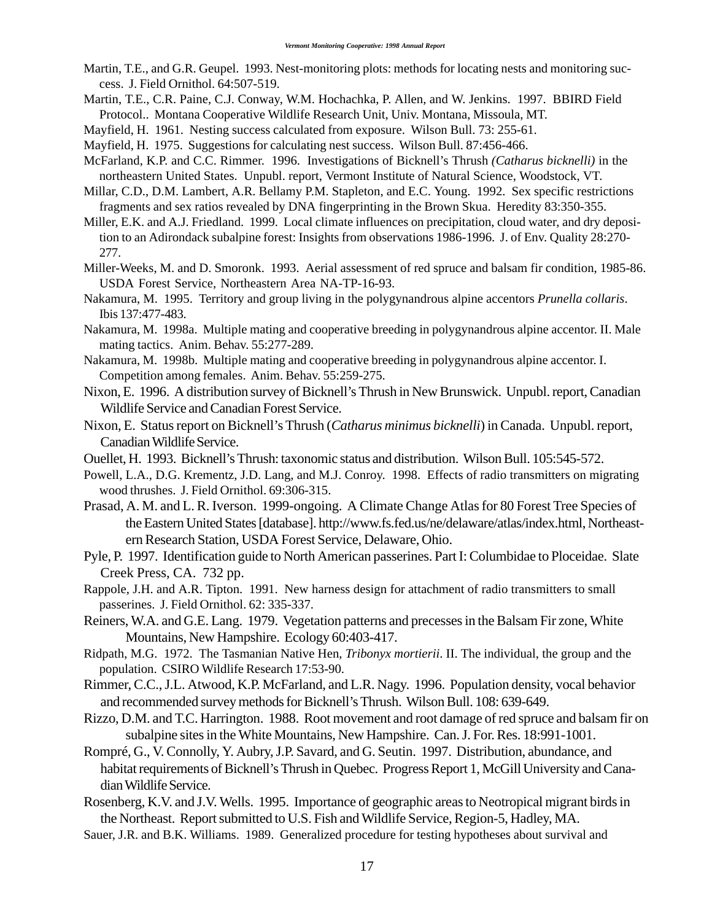- Martin, T.E., and G.R. Geupel. 1993. Nest-monitoring plots: methods for locating nests and monitoring success. J. Field Ornithol. 64:507-519.
- Martin, T.E., C.R. Paine, C.J. Conway, W.M. Hochachka, P. Allen, and W. Jenkins. 1997. BBIRD Field Protocol.. Montana Cooperative Wildlife Research Unit, Univ. Montana, Missoula, MT.
- Mayfield, H. 1961. Nesting success calculated from exposure. Wilson Bull. 73: 255-61.
- Mayfield, H. 1975. Suggestions for calculating nest success. Wilson Bull. 87:456-466.
- McFarland, K.P. and C.C. Rimmer. 1996. Investigations of Bicknell's Thrush *(Catharus bicknelli)* in the northeastern United States. Unpubl. report, Vermont Institute of Natural Science, Woodstock, VT.
- Millar, C.D., D.M. Lambert, A.R. Bellamy P.M. Stapleton, and E.C. Young. 1992. Sex specific restrictions fragments and sex ratios revealed by DNA fingerprinting in the Brown Skua. Heredity 83:350-355.
- Miller, E.K. and A.J. Friedland. 1999. Local climate influences on precipitation, cloud water, and dry deposition to an Adirondack subalpine forest: Insights from observations 1986-1996. J. of Env. Quality 28:270- 277.
- Miller-Weeks, M. and D. Smoronk. 1993. Aerial assessment of red spruce and balsam fir condition, 1985-86. USDA Forest Service, Northeastern Area NA-TP-16-93.
- Nakamura, M. 1995. Territory and group living in the polygynandrous alpine accentors *Prunella collaris*. Ibis 137:477-483.
- Nakamura, M. 1998a. Multiple mating and cooperative breeding in polygynandrous alpine accentor. II. Male mating tactics. Anim. Behav. 55:277-289.
- Nakamura, M. 1998b. Multiple mating and cooperative breeding in polygynandrous alpine accentor. I. Competition among females. Anim. Behav. 55:259-275.
- Nixon, E. 1996. A distribution survey of Bicknell's Thrush in New Brunswick. Unpubl. report, Canadian Wildlife Service and Canadian Forest Service.
- Nixon, E. Status report on Bicknell's Thrush (*Catharus minimus bicknelli*) in Canada. Unpubl. report, Canadian Wildlife Service.
- Ouellet, H. 1993. Bicknell's Thrush: taxonomic status and distribution. Wilson Bull. 105:545-572.
- Powell, L.A., D.G. Krementz, J.D. Lang, and M.J. Conroy. 1998. Effects of radio transmitters on migrating wood thrushes. J. Field Ornithol. 69:306-315.
- Prasad, A. M. and L. R. Iverson. 1999-ongoing. A Climate Change Atlas for 80 Forest Tree Species of the Eastern United States [database]. http://www.fs.fed.us/ne/delaware/atlas/index.html, Northeastern Research Station, USDA Forest Service, Delaware, Ohio.
- Pyle, P. 1997. Identification guide to North American passerines. Part I: Columbidae to Ploceidae. Slate Creek Press, CA. 732 pp.
- Rappole, J.H. and A.R. Tipton. 1991. New harness design for attachment of radio transmitters to small passerines. J. Field Ornithol. 62: 335-337.
- Reiners, W.A. and G.E. Lang. 1979. Vegetation patterns and precesses in the Balsam Fir zone, White Mountains, New Hampshire. Ecology 60:403-417.
- Ridpath, M.G. 1972. The Tasmanian Native Hen, *Tribonyx mortierii*. II. The individual, the group and the population. CSIRO Wildlife Research 17:53-90.
- Rimmer, C.C., J.L. Atwood, K.P. McFarland, and L.R. Nagy. 1996. Population density, vocal behavior and recommended survey methods for Bicknell's Thrush. Wilson Bull. 108: 639-649.
- Rizzo, D.M. and T.C. Harrington. 1988. Root movement and root damage of red spruce and balsam fir on subalpine sites in the White Mountains, New Hampshire. Can. J. For. Res. 18:991-1001.
- Rompré, G., V. Connolly, Y. Aubry, J.P. Savard, and G. Seutin. 1997. Distribution, abundance, and habitat requirements of Bicknell's Thrush in Quebec. Progress Report 1, McGill University and Canadian Wildlife Service.
- Rosenberg, K.V. and J.V. Wells. 1995. Importance of geographic areas to Neotropical migrant birds in the Northeast. Report submitted to U.S. Fish and Wildlife Service, Region-5, Hadley, MA.
- Sauer, J.R. and B.K. Williams. 1989. Generalized procedure for testing hypotheses about survival and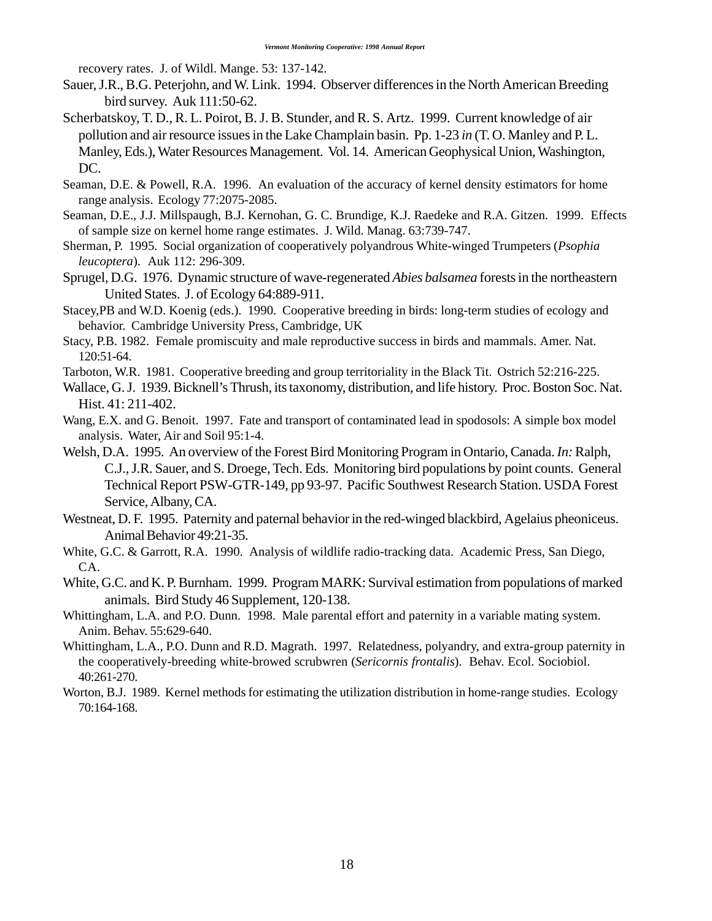recovery rates. J. of Wildl. Mange. 53: 137-142.

- Sauer, J.R., B.G. Peterjohn, and W. Link. 1994. Observer differences in the North American Breeding bird survey. Auk 111:50-62.
- Scherbatskoy, T. D., R. L. Poirot, B. J. B. Stunder, and R. S. Artz. 1999. Current knowledge of air pollution and air resource issues in the Lake Champlain basin. Pp. 1-23 *in* (T. O. Manley and P. L. Manley, Eds.), Water Resources Management. Vol. 14. American Geophysical Union, Washington, DC.
- Seaman, D.E. & Powell, R.A. 1996. An evaluation of the accuracy of kernel density estimators for home range analysis. Ecology 77:2075-2085.
- Seaman, D.E., J.J. Millspaugh, B.J. Kernohan, G. C. Brundige, K.J. Raedeke and R.A. Gitzen. 1999. Effects of sample size on kernel home range estimates. J. Wild. Manag. 63:739-747.
- Sherman, P. 1995. Social organization of cooperatively polyandrous White-winged Trumpeters (*Psophia leucoptera*). Auk 112: 296-309.
- Sprugel, D.G. 1976. Dynamic structure of wave-regenerated *Abies balsamea* forests in the northeastern United States. J. of Ecology 64:889-911.
- Stacey,PB and W.D. Koenig (eds.). 1990. Cooperative breeding in birds: long-term studies of ecology and behavior. Cambridge University Press, Cambridge, UK
- Stacy, P.B. 1982. Female promiscuity and male reproductive success in birds and mammals. Amer. Nat. 120:51-64.
- Tarboton, W.R. 1981. Cooperative breeding and group territoriality in the Black Tit. Ostrich 52:216-225.
- Wallace, G. J. 1939. Bicknell's Thrush, its taxonomy, distribution, and life history. Proc. Boston Soc. Nat. Hist. 41: 211-402.
- Wang, E.X. and G. Benoit. 1997. Fate and transport of contaminated lead in spodosols: A simple box model analysis. Water, Air and Soil 95:1-4.
- Welsh, D.A. 1995. An overview of the Forest Bird Monitoring Program in Ontario, Canada. *In:* Ralph, C.J., J.R. Sauer, and S. Droege, Tech. Eds. Monitoring bird populations by point counts. General Technical Report PSW-GTR-149, pp 93-97. Pacific Southwest Research Station. USDA Forest Service, Albany, CA.
- Westneat, D. F. 1995. Paternity and paternal behavior in the red-winged blackbird, Agelaius pheoniceus. Animal Behavior 49:21-35.
- White, G.C. & Garrott, R.A. 1990. Analysis of wildlife radio-tracking data. Academic Press, San Diego, CA.
- White, G.C. and K. P. Burnham. 1999. Program MARK: Survival estimation from populations of marked animals. Bird Study 46 Supplement, 120-138.
- Whittingham, L.A. and P.O. Dunn. 1998. Male parental effort and paternity in a variable mating system. Anim. Behav. 55:629-640.
- Whittingham, L.A., P.O. Dunn and R.D. Magrath. 1997. Relatedness, polyandry, and extra-group paternity in the cooperatively-breeding white-browed scrubwren (*Sericornis frontalis*). Behav. Ecol. Sociobiol. 40:261-270.
- Worton, B.J. 1989. Kernel methods for estimating the utilization distribution in home-range studies. Ecology 70:164-168.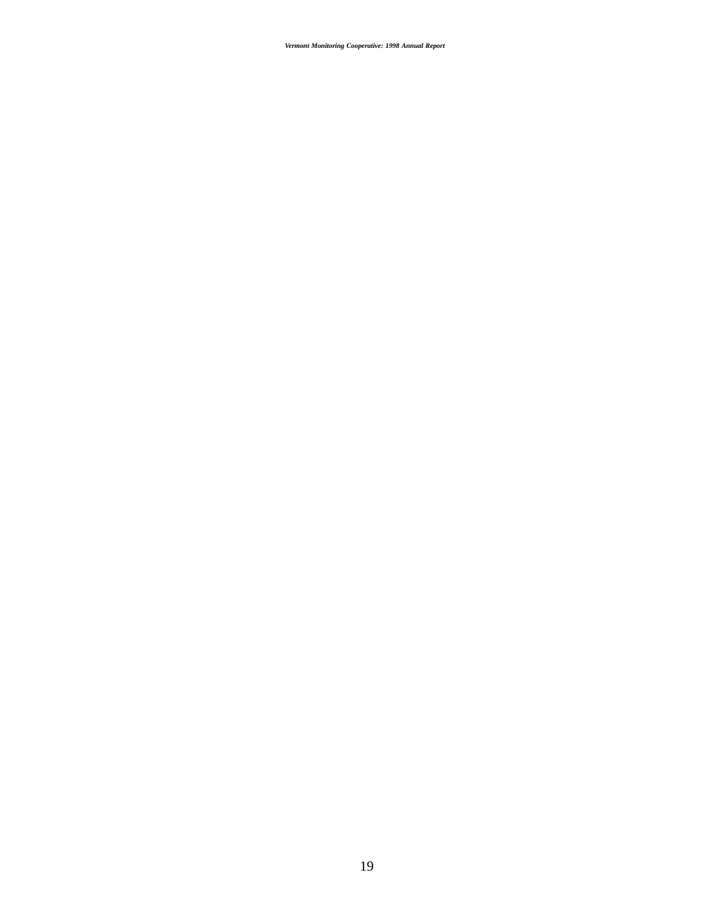*Vermont Monitoring Cooperative: 1998 Annual Report*